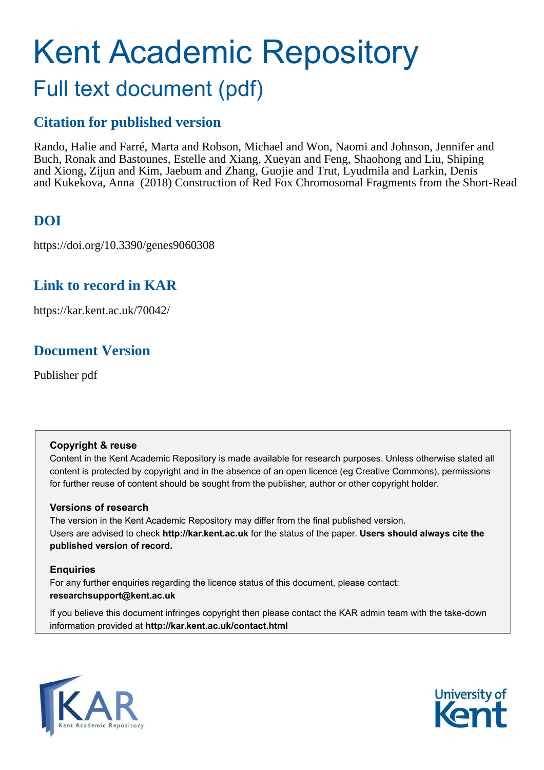# Kent Academic Repository Full text document (pdf)

# **Citation for published version**

Rando, Halie and Farré, Marta and Robson, Michael and Won, Naomi and Johnson, Jennifer and Buch, Ronak and Bastounes, Estelle and Xiang, Xueyan and Feng, Shaohong and Liu, Shiping and Xiong, Zijun and Kim, Jaebum and Zhang, Guojie and Trut, Lyudmila and Larkin, Denis and Kukekova, Anna (2018) Construction of Red Fox Chromosomal Fragments from the Short-Read

# **DOI**

https://doi.org/10.3390/genes9060308

### **Link to record in KAR**

https://kar.kent.ac.uk/70042/

# **Document Version**

Publisher pdf

### **Copyright & reuse**

Content in the Kent Academic Repository is made available for research purposes. Unless otherwise stated all content is protected by copyright and in the absence of an open licence (eg Creative Commons), permissions for further reuse of content should be sought from the publisher, author or other copyright holder.

### **Versions of research**

The version in the Kent Academic Repository may differ from the final published version. Users are advised to check **http://kar.kent.ac.uk** for the status of the paper. **Users should always cite the published version of record.**

### **Enquiries**

For any further enquiries regarding the licence status of this document, please contact: **researchsupport@kent.ac.uk**

If you believe this document infringes copyright then please contact the KAR admin team with the take-down information provided at **http://kar.kent.ac.uk/contact.html**



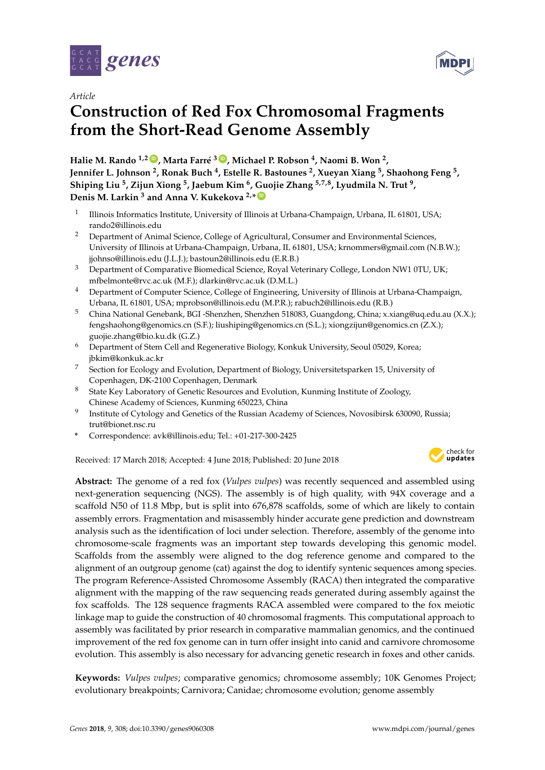

*Article*

# **Construction of Red Fox Chromosomal Fragments from the Short-Read Genome Assembly**

**Halie M. Rando 1,2 [ID](https://orcid.org/0000-0001-7688-1770) , Marta Farré <sup>3</sup> [ID](https://orcid.org/0000-0001-9170-5767) , Michael P. Robson <sup>4</sup> , Naomi B. Won <sup>2</sup> , Jennifer L. Johnson <sup>2</sup> , Ronak Buch <sup>4</sup> , Estelle R. Bastounes <sup>2</sup> , Xueyan Xiang <sup>5</sup> , Shaohong Feng <sup>5</sup> , Shiping Liu <sup>5</sup> , Zijun Xiong <sup>5</sup> , Jaebum Kim <sup>6</sup> , Guojie Zhang 5,7,8, Lyudmila N. Trut <sup>9</sup> , Denis M. Larkin <sup>3</sup> and Anna V. Kukekova 2,\* [ID](https://orcid.org/0000-0001-7027-3715)**

- 1 Illinois Informatics Institute, University of Illinois at Urbana-Champaign, Urbana, IL 61801, USA; rando2@illinois.edu
- <sup>2</sup> Department of Animal Science, College of Agricultural, Consumer and Environmental Sciences, University of Illinois at Urbana-Champaign, Urbana, IL 61801, USA; krnommers@gmail.com (N.B.W.); jjohnso@illinois.edu (J.L.J.); bastoun2@illinois.edu (E.R.B.)
- <sup>3</sup> Department of Comparative Biomedical Science, Royal Veterinary College, London NW1 0TU, UK; mfbelmonte@rvc.ac.uk (M.F.); dlarkin@rvc.ac.uk (D.M.L.)
- <sup>4</sup> Department of Computer Science, College of Engineering, University of Illinois at Urbana-Champaign, Urbana, IL 61801, USA; mprobson@illinois.edu (M.P.R.); rabuch2@illinois.edu (R.B.)
- <sup>5</sup> China National Genebank, BGI -Shenzhen, Shenzhen 518083, Guangdong, China; x.xiang@uq.edu.au (X.X.); fengshaohong@genomics.cn (S.F.); liushiping@genomics.cn (S.L.); xiongzijun@genomics.cn (Z.X.); guojie.zhang@bio.ku.dk (G.Z.)
- <sup>6</sup> Department of Stem Cell and Regenerative Biology, Konkuk University, Seoul 05029, Korea; jbkim@konkuk.ac.kr
- <sup>7</sup> Section for Ecology and Evolution, Department of Biology, Universitetsparken 15, University of Copenhagen, DK-2100 Copenhagen, Denmark
- <sup>8</sup> State Key Laboratory of Genetic Resources and Evolution, Kunming Institute of Zoology, Chinese Academy of Sciences, Kunming 650223, China
- 9 Institute of Cytology and Genetics of the Russian Academy of Sciences, Novosibirsk 630090, Russia; trut@bionet.nsc.ru
- **\*** Correspondence: avk@illinois.edu; Tel.: +01-217-300-2425

Received: 17 March 2018; Accepted: 4 June 2018; Published: 20 June 2018



**MDF** 

**Abstract:** The genome of a red fox (*Vulpes vulpes*) was recently sequenced and assembled using next-generation sequencing (NGS). The assembly is of high quality, with 94X coverage and a scaffold N50 of 11.8 Mbp, but is split into 676,878 scaffolds, some of which are likely to contain assembly errors. Fragmentation and misassembly hinder accurate gene prediction and downstream analysis such as the identification of loci under selection. Therefore, assembly of the genome into chromosome-scale fragments was an important step towards developing this genomic model. Scaffolds from the assembly were aligned to the dog reference genome and compared to the alignment of an outgroup genome (cat) against the dog to identify syntenic sequences among species. The program Reference-Assisted Chromosome Assembly (RACA) then integrated the comparative alignment with the mapping of the raw sequencing reads generated during assembly against the fox scaffolds. The 128 sequence fragments RACA assembled were compared to the fox meiotic linkage map to guide the construction of 40 chromosomal fragments. This computational approach to assembly was facilitated by prior research in comparative mammalian genomics, and the continued improvement of the red fox genome can in turn offer insight into canid and carnivore chromosome evolution. This assembly is also necessary for advancing genetic research in foxes and other canids.

**Keywords:** *Vulpes vulpes*; comparative genomics; chromosome assembly; 10K Genomes Project; evolutionary breakpoints; Carnivora; Canidae; chromosome evolution; genome assembly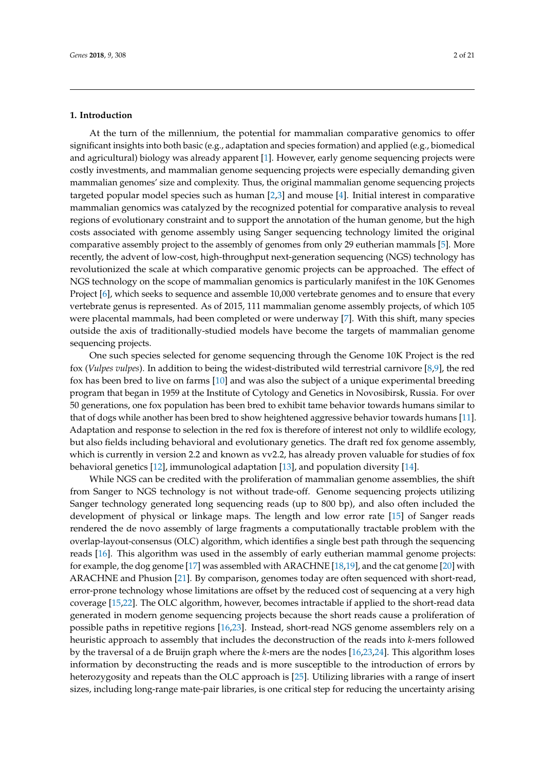#### **1. Introduction**

At the turn of the millennium, the potential for mammalian comparative genomics to offer significant insights into both basic (e.g., adaptation and species formation) and applied (e.g., biomedical and agricultural) biology was already apparent [\[1\]](#page-16-0). However, early genome sequencing projects were costly investments, and mammalian genome sequencing projects were especially demanding given mammalian genomes' size and complexity. Thus, the original mammalian genome sequencing projects targeted popular model species such as human [\[2](#page-16-1)[,3\]](#page-16-2) and mouse [\[4\]](#page-16-3). Initial interest in comparative mammalian genomics was catalyzed by the recognized potential for comparative analysis to reveal regions of evolutionary constraint and to support the annotation of the human genome, but the high costs associated with genome assembly using Sanger sequencing technology limited the original comparative assembly project to the assembly of genomes from only 29 eutherian mammals [\[5\]](#page-16-4). More recently, the advent of low-cost, high-throughput next-generation sequencing (NGS) technology has revolutionized the scale at which comparative genomic projects can be approached. The effect of NGS technology on the scope of mammalian genomics is particularly manifest in the 10K Genomes Project [\[6\]](#page-16-5), which seeks to sequence and assemble 10,000 vertebrate genomes and to ensure that every vertebrate genus is represented. As of 2015, 111 mammalian genome assembly projects, of which 105 were placental mammals, had been completed or were underway [\[7\]](#page-16-6). With this shift, many species outside the axis of traditionally-studied models have become the targets of mammalian genome sequencing projects.

One such species selected for genome sequencing through the Genome 10K Project is the red fox (*Vulpes vulpes*). In addition to being the widest-distributed wild terrestrial carnivore [\[8,](#page-16-7)[9\]](#page-16-8), the red fox has been bred to live on farms [\[10\]](#page-16-9) and was also the subject of a unique experimental breeding program that began in 1959 at the Institute of Cytology and Genetics in Novosibirsk, Russia. For over 50 generations, one fox population has been bred to exhibit tame behavior towards humans similar to that of dogs while another has been bred to show heightened aggressive behavior towards humans [\[11\]](#page-17-0). Adaptation and response to selection in the red fox is therefore of interest not only to wildlife ecology, but also fields including behavioral and evolutionary genetics. The draft red fox genome assembly, which is currently in version 2.2 and known as vv2.2, has already proven valuable for studies of fox behavioral genetics [\[12\]](#page-17-1), immunological adaptation [\[13\]](#page-17-2), and population diversity [\[14\]](#page-17-3).

While NGS can be credited with the proliferation of mammalian genome assemblies, the shift from Sanger to NGS technology is not without trade-off. Genome sequencing projects utilizing Sanger technology generated long sequencing reads (up to 800 bp), and also often included the development of physical or linkage maps. The length and low error rate [\[15\]](#page-17-4) of Sanger reads rendered the de novo assembly of large fragments a computationally tractable problem with the overlap-layout-consensus (OLC) algorithm, which identifies a single best path through the sequencing reads [\[16\]](#page-17-5). This algorithm was used in the assembly of early eutherian mammal genome projects: for example, the dog genome [\[17\]](#page-17-6) was assembled with ARACHNE [\[18](#page-17-7)[,19\]](#page-17-8), and the cat genome [\[20\]](#page-17-9) with ARACHNE and Phusion [\[21\]](#page-17-10). By comparison, genomes today are often sequenced with short-read, error-prone technology whose limitations are offset by the reduced cost of sequencing at a very high coverage [\[15,](#page-17-4)[22\]](#page-17-11). The OLC algorithm, however, becomes intractable if applied to the short-read data generated in modern genome sequencing projects because the short reads cause a proliferation of possible paths in repetitive regions [\[16,](#page-17-5)[23\]](#page-17-12). Instead, short-read NGS genome assemblers rely on a heuristic approach to assembly that includes the deconstruction of the reads into *k*-mers followed by the traversal of a de Bruijn graph where the *k*-mers are the nodes [\[16](#page-17-5)[,23](#page-17-12)[,24\]](#page-17-13). This algorithm loses information by deconstructing the reads and is more susceptible to the introduction of errors by heterozygosity and repeats than the OLC approach is [\[25\]](#page-17-14). Utilizing libraries with a range of insert sizes, including long-range mate-pair libraries, is one critical step for reducing the uncertainty arising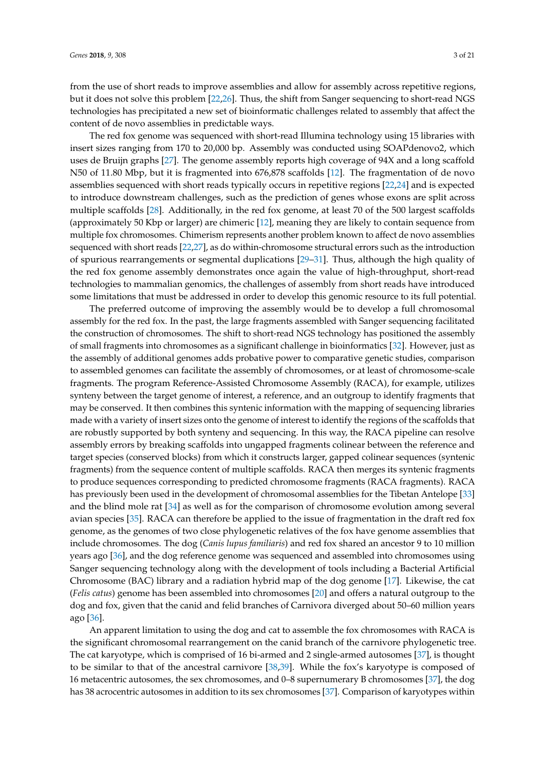from the use of short reads to improve assemblies and allow for assembly across repetitive regions, but it does not solve this problem [\[22,](#page-17-11)[26\]](#page-17-15). Thus, the shift from Sanger sequencing to short-read NGS technologies has precipitated a new set of bioinformatic challenges related to assembly that affect the content of de novo assemblies in predictable ways.

The red fox genome was sequenced with short-read Illumina technology using 15 libraries with insert sizes ranging from 170 to 20,000 bp. Assembly was conducted using SOAPdenovo2, which uses de Bruijn graphs [\[27\]](#page-17-16). The genome assembly reports high coverage of 94X and a long scaffold N50 of 11.80 Mbp, but it is fragmented into 676,878 scaffolds [\[12\]](#page-17-1). The fragmentation of de novo assemblies sequenced with short reads typically occurs in repetitive regions [\[22,](#page-17-11)[24\]](#page-17-13) and is expected to introduce downstream challenges, such as the prediction of genes whose exons are split across multiple scaffolds [\[28\]](#page-17-17). Additionally, in the red fox genome, at least 70 of the 500 largest scaffolds (approximately 50 Kbp or larger) are chimeric [\[12\]](#page-17-1), meaning they are likely to contain sequence from multiple fox chromosomes. Chimerism represents another problem known to affect de novo assemblies sequenced with short reads [\[22](#page-17-11)[,27\]](#page-17-16), as do within-chromosome structural errors such as the introduction of spurious rearrangements or segmental duplications [\[29–](#page-17-18)[31\]](#page-17-19). Thus, although the high quality of the red fox genome assembly demonstrates once again the value of high-throughput, short-read technologies to mammalian genomics, the challenges of assembly from short reads have introduced some limitations that must be addressed in order to develop this genomic resource to its full potential.

The preferred outcome of improving the assembly would be to develop a full chromosomal assembly for the red fox. In the past, the large fragments assembled with Sanger sequencing facilitated the construction of chromosomes. The shift to short-read NGS technology has positioned the assembly of small fragments into chromosomes as a significant challenge in bioinformatics [\[32\]](#page-17-20). However, just as the assembly of additional genomes adds probative power to comparative genetic studies, comparison to assembled genomes can facilitate the assembly of chromosomes, or at least of chromosome-scale fragments. The program Reference-Assisted Chromosome Assembly (RACA), for example, utilizes synteny between the target genome of interest, a reference, and an outgroup to identify fragments that may be conserved. It then combines this syntenic information with the mapping of sequencing libraries made with a variety of insert sizes onto the genome of interest to identify the regions of the scaffolds that are robustly supported by both synteny and sequencing. In this way, the RACA pipeline can resolve assembly errors by breaking scaffolds into ungapped fragments colinear between the reference and target species (conserved blocks) from which it constructs larger, gapped colinear sequences (syntenic fragments) from the sequence content of multiple scaffolds. RACA then merges its syntenic fragments to produce sequences corresponding to predicted chromosome fragments (RACA fragments). RACA has previously been used in the development of chromosomal assemblies for the Tibetan Antelope [\[33\]](#page-18-0) and the blind mole rat [\[34\]](#page-18-1) as well as for the comparison of chromosome evolution among several avian species [\[35\]](#page-18-2). RACA can therefore be applied to the issue of fragmentation in the draft red fox genome, as the genomes of two close phylogenetic relatives of the fox have genome assemblies that include chromosomes. The dog (*Canis lupus familiaris*) and red fox shared an ancestor 9 to 10 million years ago [\[36\]](#page-18-3), and the dog reference genome was sequenced and assembled into chromosomes using Sanger sequencing technology along with the development of tools including a Bacterial Artificial Chromosome (BAC) library and a radiation hybrid map of the dog genome [\[17\]](#page-17-6). Likewise, the cat (*Felis catus*) genome has been assembled into chromosomes [\[20\]](#page-17-9) and offers a natural outgroup to the dog and fox, given that the canid and felid branches of Carnivora diverged about 50–60 million years ago [\[36\]](#page-18-3).

An apparent limitation to using the dog and cat to assemble the fox chromosomes with RACA is the significant chromosomal rearrangement on the canid branch of the carnivore phylogenetic tree. The cat karyotype, which is comprised of 16 bi-armed and 2 single-armed autosomes [\[37\]](#page-18-4), is thought to be similar to that of the ancestral carnivore [\[38](#page-18-5)[,39\]](#page-18-6). While the fox's karyotype is composed of 16 metacentric autosomes, the sex chromosomes, and 0–8 supernumerary B chromosomes [\[37\]](#page-18-4), the dog has 38 acrocentric autosomes in addition to its sex chromosomes [\[37\]](#page-18-4). Comparison of karyotypes within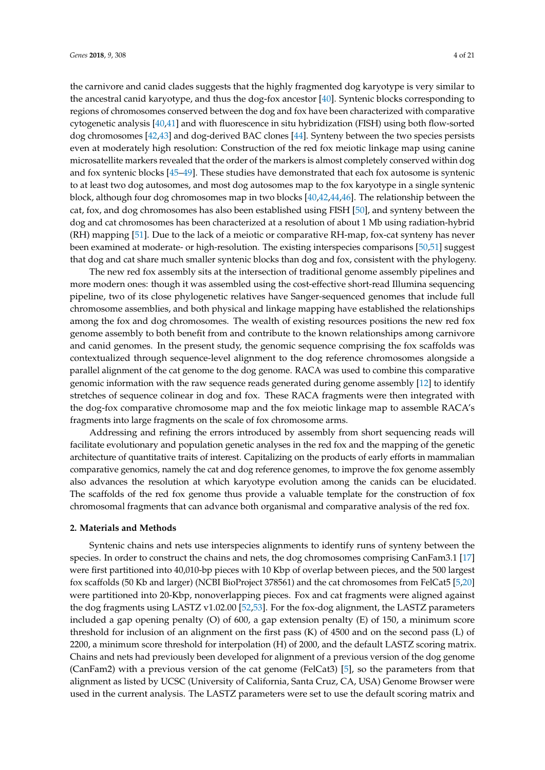the carnivore and canid clades suggests that the highly fragmented dog karyotype is very similar to the ancestral canid karyotype, and thus the dog-fox ancestor [\[40\]](#page-18-7). Syntenic blocks corresponding to

regions of chromosomes conserved between the dog and fox have been characterized with comparative cytogenetic analysis [\[40,](#page-18-7)[41\]](#page-18-8) and with fluorescence in situ hybridization (FISH) using both flow-sorted dog chromosomes [\[42,](#page-18-9)[43\]](#page-18-10) and dog-derived BAC clones [\[44\]](#page-18-11). Synteny between the two species persists even at moderately high resolution: Construction of the red fox meiotic linkage map using canine microsatellite markers revealed that the order of the markers is almost completely conserved within dog and fox syntenic blocks [\[45](#page-18-12)[–49\]](#page-18-13). These studies have demonstrated that each fox autosome is syntenic to at least two dog autosomes, and most dog autosomes map to the fox karyotype in a single syntenic block, although four dog chromosomes map in two blocks [\[40,](#page-18-7)[42](#page-18-9)[,44](#page-18-11)[,46\]](#page-18-14). The relationship between the cat, fox, and dog chromosomes has also been established using FISH [\[50\]](#page-18-15), and synteny between the dog and cat chromosomes has been characterized at a resolution of about 1 Mb using radiation-hybrid (RH) mapping [\[51\]](#page-18-16). Due to the lack of a meiotic or comparative RH-map, fox-cat synteny has never been examined at moderate- or high-resolution. The existing interspecies comparisons [\[50](#page-18-15)[,51\]](#page-18-16) suggest that dog and cat share much smaller syntenic blocks than dog and fox, consistent with the phylogeny.

The new red fox assembly sits at the intersection of traditional genome assembly pipelines and more modern ones: though it was assembled using the cost-effective short-read Illumina sequencing pipeline, two of its close phylogenetic relatives have Sanger-sequenced genomes that include full chromosome assemblies, and both physical and linkage mapping have established the relationships among the fox and dog chromosomes. The wealth of existing resources positions the new red fox genome assembly to both benefit from and contribute to the known relationships among carnivore and canid genomes. In the present study, the genomic sequence comprising the fox scaffolds was contextualized through sequence-level alignment to the dog reference chromosomes alongside a parallel alignment of the cat genome to the dog genome. RACA was used to combine this comparative genomic information with the raw sequence reads generated during genome assembly [\[12\]](#page-17-1) to identify stretches of sequence colinear in dog and fox. These RACA fragments were then integrated with the dog-fox comparative chromosome map and the fox meiotic linkage map to assemble RACA's fragments into large fragments on the scale of fox chromosome arms.

Addressing and refining the errors introduced by assembly from short sequencing reads will facilitate evolutionary and population genetic analyses in the red fox and the mapping of the genetic architecture of quantitative traits of interest. Capitalizing on the products of early efforts in mammalian comparative genomics, namely the cat and dog reference genomes, to improve the fox genome assembly also advances the resolution at which karyotype evolution among the canids can be elucidated. The scaffolds of the red fox genome thus provide a valuable template for the construction of fox chromosomal fragments that can advance both organismal and comparative analysis of the red fox.

#### **2. Materials and Methods**

Syntenic chains and nets use interspecies alignments to identify runs of synteny between the species. In order to construct the chains and nets, the dog chromosomes comprising CanFam3.1 [\[17\]](#page-17-6) were first partitioned into 40,010-bp pieces with 10 Kbp of overlap between pieces, and the 500 largest fox scaffolds (50 Kb and larger) (NCBI BioProject 378561) and the cat chromosomes from FelCat5 [\[5,](#page-16-4)[20\]](#page-17-9) were partitioned into 20-Kbp, nonoverlapping pieces. Fox and cat fragments were aligned against the dog fragments using LASTZ v1.02.00 [\[52,](#page-18-17)[53\]](#page-19-0). For the fox-dog alignment, the LASTZ parameters included a gap opening penalty (O) of 600, a gap extension penalty (E) of 150, a minimum score threshold for inclusion of an alignment on the first pass (K) of 4500 and on the second pass (L) of 2200, a minimum score threshold for interpolation (H) of 2000, and the default LASTZ scoring matrix. Chains and nets had previously been developed for alignment of a previous version of the dog genome (CanFam2) with a previous version of the cat genome (FelCat3) [\[5\]](#page-16-4), so the parameters from that alignment as listed by UCSC (University of California, Santa Cruz, CA, USA) Genome Browser were used in the current analysis. The LASTZ parameters were set to use the default scoring matrix and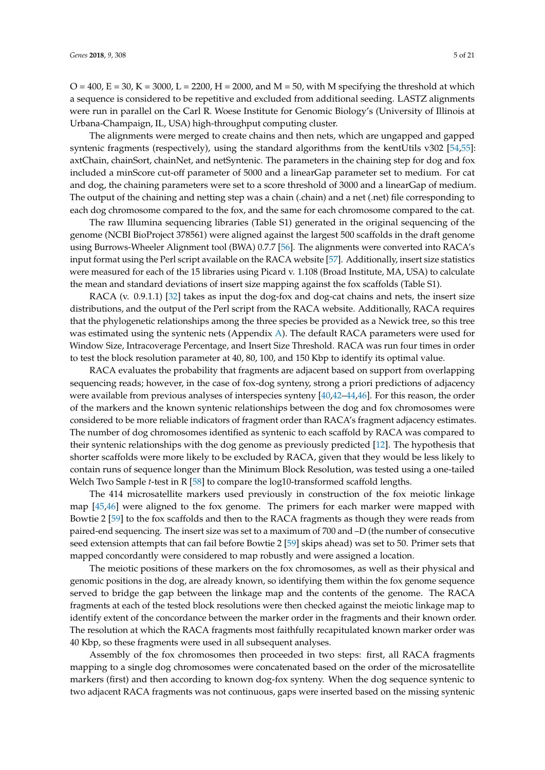$O = 400$ ,  $E = 30$ ,  $K = 3000$ ,  $L = 2200$ ,  $H = 2000$ , and  $M = 50$ , with M specifying the threshold at which a sequence is considered to be repetitive and excluded from additional seeding. LASTZ alignments were run in parallel on the Carl R. Woese Institute for Genomic Biology's (University of Illinois at Urbana-Champaign, IL, USA) high-throughput computing cluster.

The alignments were merged to create chains and then nets, which are ungapped and gapped syntenic fragments (respectively), using the standard algorithms from the kentUtils v302 [\[54,](#page-19-1)[55\]](#page-19-2): axtChain, chainSort, chainNet, and netSyntenic. The parameters in the chaining step for dog and fox included a minScore cut-off parameter of 5000 and a linearGap parameter set to medium. For cat and dog, the chaining parameters were set to a score threshold of 3000 and a linearGap of medium. The output of the chaining and netting step was a chain (.chain) and a net (.net) file corresponding to each dog chromosome compared to the fox, and the same for each chromosome compared to the cat.

The raw Illumina sequencing libraries (Table S1) generated in the original sequencing of the genome (NCBI BioProject 378561) were aligned against the largest 500 scaffolds in the draft genome using Burrows-Wheeler Alignment tool (BWA) 0.7.7 [\[56\]](#page-19-3). The alignments were converted into RACA's input format using the Perl script available on the RACA website [\[57\]](#page-19-4). Additionally, insert size statistics were measured for each of the 15 libraries using Picard v. 1.108 (Broad Institute, MA, USA) to calculate the mean and standard deviations of insert size mapping against the fox scaffolds (Table S1).

RACA (v. 0.9.1.1) [\[32\]](#page-17-20) takes as input the dog-fox and dog-cat chains and nets, the insert size distributions, and the output of the Perl script from the RACA website. Additionally, RACA requires that the phylogenetic relationships among the three species be provided as a Newick tree, so this tree was estimated using the syntenic nets (Appendix [A\)](#page-13-0). The default RACA parameters were used for Window Size, Intracoverage Percentage, and Insert Size Threshold. RACA was run four times in order to test the block resolution parameter at 40, 80, 100, and 150 Kbp to identify its optimal value.

RACA evaluates the probability that fragments are adjacent based on support from overlapping sequencing reads; however, in the case of fox-dog synteny, strong a priori predictions of adjacency were available from previous analyses of interspecies synteny [\[40](#page-18-7)[,42](#page-18-9)[–44](#page-18-11)[,46\]](#page-18-14). For this reason, the order of the markers and the known syntenic relationships between the dog and fox chromosomes were considered to be more reliable indicators of fragment order than RACA's fragment adjacency estimates. The number of dog chromosomes identified as syntenic to each scaffold by RACA was compared to their syntenic relationships with the dog genome as previously predicted [\[12\]](#page-17-1). The hypothesis that shorter scaffolds were more likely to be excluded by RACA, given that they would be less likely to contain runs of sequence longer than the Minimum Block Resolution, was tested using a one-tailed Welch Two Sample *t*-test in R [\[58\]](#page-19-5) to compare the log10-transformed scaffold lengths.

The 414 microsatellite markers used previously in construction of the fox meiotic linkage map [\[45](#page-18-12)[,46\]](#page-18-14) were aligned to the fox genome. The primers for each marker were mapped with Bowtie 2 [\[59\]](#page-19-6) to the fox scaffolds and then to the RACA fragments as though they were reads from paired-end sequencing. The insert size was set to a maximum of 700 and –D (the number of consecutive seed extension attempts that can fail before Bowtie 2 [\[59\]](#page-19-6) skips ahead) was set to 50. Primer sets that mapped concordantly were considered to map robustly and were assigned a location.

The meiotic positions of these markers on the fox chromosomes, as well as their physical and genomic positions in the dog, are already known, so identifying them within the fox genome sequence served to bridge the gap between the linkage map and the contents of the genome. The RACA fragments at each of the tested block resolutions were then checked against the meiotic linkage map to identify extent of the concordance between the marker order in the fragments and their known order. The resolution at which the RACA fragments most faithfully recapitulated known marker order was 40 Kbp, so these fragments were used in all subsequent analyses.

Assembly of the fox chromosomes then proceeded in two steps: first, all RACA fragments mapping to a single dog chromosomes were concatenated based on the order of the microsatellite markers (first) and then according to known dog-fox synteny. When the dog sequence syntenic to two adjacent RACA fragments was not continuous, gaps were inserted based on the missing syntenic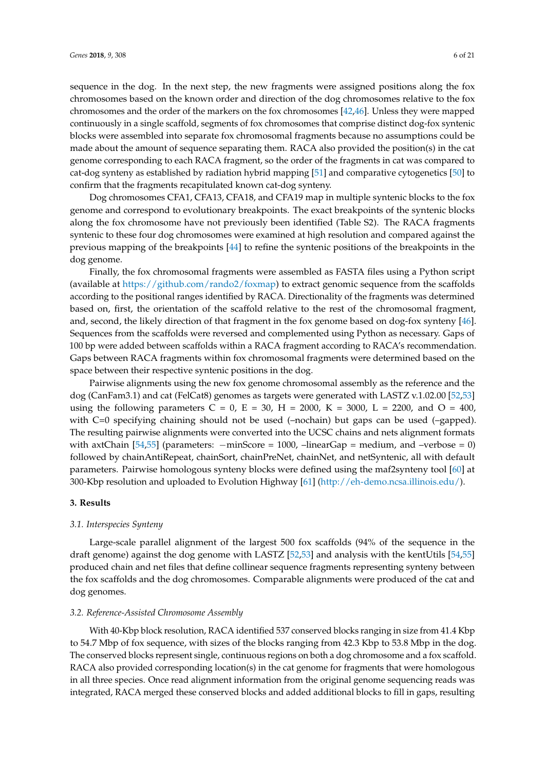sequence in the dog. In the next step, the new fragments were assigned positions along the fox chromosomes based on the known order and direction of the dog chromosomes relative to the fox chromosomes and the order of the markers on the fox chromosomes [\[42](#page-18-9)[,46\]](#page-18-14). Unless they were mapped continuously in a single scaffold, segments of fox chromosomes that comprise distinct dog-fox syntenic blocks were assembled into separate fox chromosomal fragments because no assumptions could be made about the amount of sequence separating them. RACA also provided the position(s) in the cat genome corresponding to each RACA fragment, so the order of the fragments in cat was compared to cat-dog synteny as established by radiation hybrid mapping [\[51\]](#page-18-16) and comparative cytogenetics [\[50\]](#page-18-15) to confirm that the fragments recapitulated known cat-dog synteny.

Dog chromosomes CFA1, CFA13, CFA18, and CFA19 map in multiple syntenic blocks to the fox genome and correspond to evolutionary breakpoints. The exact breakpoints of the syntenic blocks along the fox chromosome have not previously been identified (Table S2). The RACA fragments syntenic to these four dog chromosomes were examined at high resolution and compared against the previous mapping of the breakpoints [\[44\]](#page-18-11) to refine the syntenic positions of the breakpoints in the dog genome.

<span id="page-6-0"></span>Finally, the fox chromosomal fragments were assembled as FASTA files using a Python script (available at [https://github.com/rando2/foxmap\)](https://github.com/rando2/foxmap) to extract genomic sequence from the scaffolds according to the positional ranges identified by RACA. Directionality of the fragments was determined based on, first, the orientation of the scaffold relative to the rest of the chromosomal fragment, and, second, the likely direction of that fragment in the fox genome based on dog-fox synteny [\[46\]](#page-18-14). Sequences from the scaffolds were reversed and complemented using Python as necessary. Gaps of 100 bp were added between scaffolds within a RACA fragment according to RACA's recommendation. Gaps between RACA fragments within fox chromosomal fragments were determined based on the space between their respective syntenic positions in the dog.

Pairwise alignments using the new fox genome chromosomal assembly as the reference and the dog (CanFam3.1) and cat (FelCat8) genomes as targets were generated with LASTZ v.1.02.00 [\[52](#page-18-17)[,53\]](#page-19-0) using the following parameters  $C = 0$ ,  $E = 30$ ,  $H = 2000$ ,  $K = 3000$ ,  $L = 2200$ , and  $O = 400$ , with C=0 specifying chaining should not be used (–nochain) but gaps can be used (–gapped). The resulting pairwise alignments were converted into the UCSC chains and nets alignment formats with axtChain  $[54,55]$  $[54,55]$  (parameters:  $-\text{minScore} = 1000$ ,  $-\text{linearGap} = \text{medium}$ , and  $-\text{verbose} = 0$ ) followed by chainAntiRepeat, chainSort, chainPreNet, chainNet, and netSyntenic, all with default parameters. Pairwise homologous synteny blocks were defined using the maf2synteny tool [\[60\]](#page-19-7) at 300-Kbp resolution and uploaded to Evolution Highway [\[61\]](#page-19-8) [\(http://eh-demo.ncsa.illinois.edu/\)](http://eh-demo.ncsa.illinois.edu/).

#### **3. Results**

#### *3.1. Interspecies Synteny*

Large-scale parallel alignment of the largest 500 fox scaffolds (94% of the sequence in the draft genome) against the dog genome with LASTZ [\[52](#page-18-17)[,53\]](#page-19-0) and analysis with the kentUtils [\[54](#page-19-1)[,55\]](#page-19-2) produced chain and net files that define collinear sequence fragments representing synteny between the fox scaffolds and the dog chromosomes. Comparable alignments were produced of the cat and dog genomes.

#### *3.2. Reference-Assisted Chromosome Assembly*

With 40-Kbp block resolution, RACA identified 537 conserved blocks ranging in size from 41.4 Kbp to 54.7 Mbp of fox sequence, with sizes of the blocks ranging from 42.3 Kbp to 53.8 Mbp in the dog. The conserved blocks represent single, continuous regions on both a dog chromosome and a fox scaffold. RACA also provided corresponding location(s) in the cat genome for fragments that were homologous in all three species. Once read alignment information from the original genome sequencing reads was integrated, RACA merged these conserved blocks and added additional blocks to fill in gaps, resulting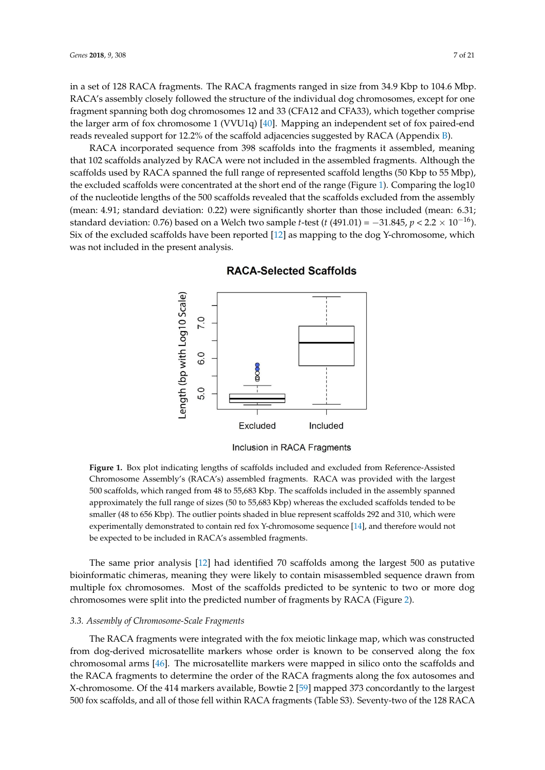in a set of 128 RACA fragments. The RACA fragments ranged in size from 34.9 Kbp to 104.6 Mbp. RACA's assembly closely followed the structure of the individual dog chromosomes, except for one fragment spanning both dog chromosomes 12 and 33 (CFA12 and CFA33), which together comprise the larger arm of fox chromosome 1 (VVU1q) [\[40\]](#page-18-7). Mapping an independent set of fox paired-end reads revealed support for 12.2% of the scaffold adjacencies suggested by RACA (Appendix [B\)](#page-14-0).

RACA incorporated sequence from 398 scaffolds into the fragments it assembled, meaning that 102 scaffolds analyzed by RACA were not included in the assembled fragments. Although the scaffolds used by RACA spanned the full range of represented scaffold lengths (50 Kbp to 55 Mbp), the excluded scaffolds were concentrated at the short end of the range (Figure [1\)](#page-6-0). Comparing the log10 of the nucleotide lengths of the 500 scaffolds revealed that the scaffolds excluded from the assembly (mean: 4.91; standard deviation: 0.22) were significantly shorter than those included (mean: 6.31; standard deviation: 0.76) based on a Welch two sample *t*-test (*t* (491.01) = −31.845, *p* < 2.2 × 10<sup>−16</sup>). Six of the excluded scaffolds have been reported [\[12\]](#page-17-1) as mapping to the dog Y-chromosome, which was not included in the present analysis.

<span id="page-7-0"></span>

**RACA-Selected Scaffolds** 

Inclusion in RACA Fragments

500 scaffolds, which ranged from 48 to 55,683 Kbp. The scaffolds included in the assembly spanned be expected to be included in RACA's assembled fragments. **Figure 1.** Box plot indicating lengths of scaffolds included and excluded from Reference-Assisted Chromosome Assembly's (RACA's) assembled fragments. RACA was provided with the largest approximately the full range of sizes (50 to 55,683 Kbp) whereas the excluded scaffolds tended to be smaller (48 to 656 Kbp). The outlier points shaded in blue represent scaffolds 292 and 310, which were experimentally demonstrated to contain red fox Y-chromosome sequence [\[14\]](#page-17-3), and therefore would not

The same prior analysis [\[12\]](#page-17-1) had identified 70 scaffolds among the largest 500 as putative bioinformatic chimeras, meaning they were likely to contain misassembled sequence drawn from multiple fox chromosomes. Most of the scaffolds predicted to be syntenic to two or more dog chromosomes were split into the predicted number of fragments by RACA (Figure [2\)](#page-7-0).

#### *3.3. Assembly of Chromosome-Scale Fragments*

The RACA fragments were integrated with the fox meiotic linkage map, which was constructed from dog-derived microsatellite markers whose order is known to be conserved along the fox chromosomal arms [\[46\]](#page-18-14). The microsatellite markers were mapped in silico onto the scaffolds and the RACA fragments to determine the order of the RACA fragments along the fox autosomes and X-chromosome. Of the 414 markers available, Bowtie 2 [\[59\]](#page-19-6) mapped 373 concordantly to the largest 500 fox scaffolds, and all of those fell within RACA fragments (Table S3). Seventy-two of the 128 RACA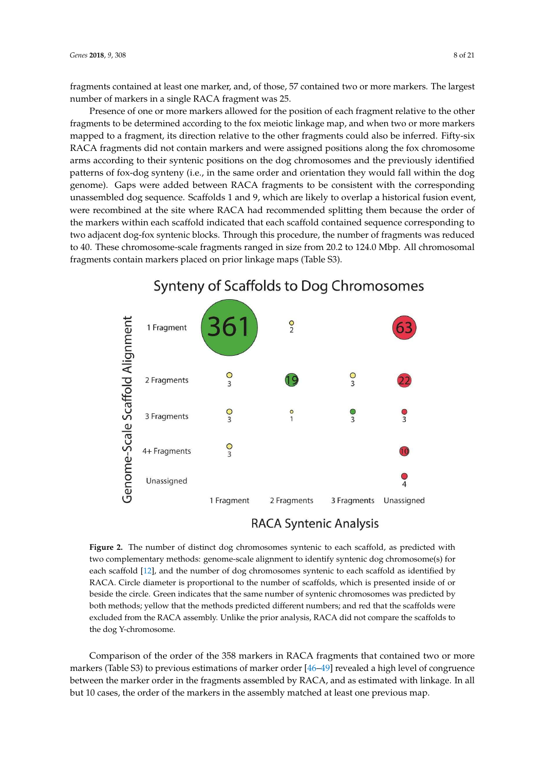fragments contained at least one marker, and, of those, 57 contained two or more markers. The largest number of markers in a single RACA fragment was 25.

Presence of one or more markers allowed for the position of each fragment relative to the other fragments to be determined according to the fox meiotic linkage map, and when two or more markers mapped to a fragment, its direction relative to the other fragments could also be inferred. Fifty-six RACA fragments did not contain markers and were assigned positions along the fox chromosome arms according to their syntenic positions on the dog chromosomes and the previously identified patterns of fox-dog synteny (i.e., in the same order and orientation they would fall within the dog genome). Gaps were added between RACA fragments to be consistent with the corresponding unassembled dog sequence. Scaffolds 1 and 9, which are likely to overlap a historical fusion event, were recombined at the site where RACA had recommended splitting them because the order of the markers within each scaffold indicated that each scaffold contained sequence corresponding to two adjacent dog-fox syntenic blocks. Through this procedure, the number of fragments was reduced to 40. These chromosome-scale fragments ranged in size from 20.2 to 124.0 Mbp. All chromosomal fragments contain markers placed on prior linkage maps (Table S3).

<span id="page-8-0"></span>

### Synteny of Scaffolds to Dog Chromosomes

### **RACA Syntenic Analysis**

**Figure 2.** The number of distinct dog chromosomes syntenic to each scaffold, as predicted with two complementary methods: genome-scale alignment to identify syntenic dog chromosome(s) for each scaffold [\[12\]](#page-17-1), and the number of dog chromosomes syntenic to each scaffold as identified by RACA. Circle diameter is proportional to the number of scaffolds, which is presented inside of or beside the circle. Green indicates that the same number of syntenic chromosomes was predicted by both methods; yellow that the methods predicted different numbers; and red that the scaffolds were excluded from the RACA assembly. Unlike the prior analysis, RACA did not compare the scaffolds to the dog Y-chromosome.

Comparison of the order of the 358 markers in RACA fragments that contained two or more markers (Table S3) to previous estimations of marker order [\[46–](#page-18-14)[49\]](#page-18-13) revealed a high level of congruence between the marker order in the fragments assembled by RACA, and as estimated with linkage. In all but 10 cases, the order of the markers in the assembly matched at least one previous map.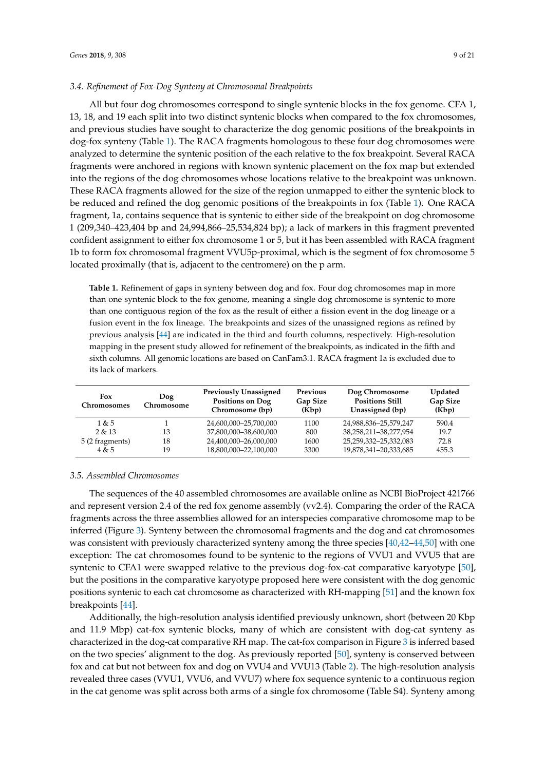#### *3.4. Refinement of Fox-Dog Synteny at Chromosomal Breakpoints*

<span id="page-9-0"></span>All but four dog chromosomes correspond to single syntenic blocks in the fox genome. CFA 1, 13, 18, and 19 each split into two distinct syntenic blocks when compared to the fox chromosomes, and previous studies have sought to characterize the dog genomic positions of the breakpoints in dog-fox synteny (Table [1\)](#page-8-0). The RACA fragments homologous to these four dog chromosomes were analyzed to determine the syntenic position of the each relative to the fox breakpoint. Several RACA fragments were anchored in regions with known syntenic placement on the fox map but extended into the regions of the dog chromosomes whose locations relative to the breakpoint was unknown. These RACA fragments allowed for the size of the region unmapped to either the syntenic block to be reduced and refined the dog genomic positions of the breakpoints in fox (Table [1\)](#page-8-0). One RACA fragment, 1a, contains sequence that is syntenic to either side of the breakpoint on dog chromosome 1 (209,340–423,404 bp and 24,994,866–25,534,824 bp); a lack of markers in this fragment prevented confident assignment to either fox chromosome 1 or 5, but it has been assembled with RACA fragment 1b to form fox chromosomal fragment VVU5p-proximal, which is the segment of fox chromosome 5 located proximally (that is, adjacent to the centromere) on the p arm.

**Table 1.** Refinement of gaps in synteny between dog and fox. Four dog chromosomes map in more than one syntenic block to the fox genome, meaning a single dog chromosome is syntenic to more than one contiguous region of the fox as the result of either a fission event in the dog lineage or a fusion event in the fox lineage. The breakpoints and sizes of the unassigned regions as refined by previous analysis [\[44\]](#page-18-11) are indicated in the third and fourth columns, respectively. High-resolution mapping in the present study allowed for refinement of the breakpoints, as indicated in the fifth and sixth columns. All genomic locations are based on CanFam3.1. RACA fragment 1a is excluded due to its lack of markers.

| Fox<br>Chromosomes | Dog<br>Chromosome | <b>Previously Unassigned</b><br>Positions on Dog<br>Chromosome (bp) | Previous<br>Gap Size<br>(Kbp) | Dog Chromosome<br><b>Positions Still</b><br>Unassigned (bp) | <b>Updated</b><br><b>Gap Size</b><br>(Kbp) |
|--------------------|-------------------|---------------------------------------------------------------------|-------------------------------|-------------------------------------------------------------|--------------------------------------------|
| 1 & 5              |                   | 24,600,000-25,700,000                                               | 1100                          | 24,988,836-25,579,247                                       | 590.4                                      |
| 2 & 13             | 13                | 37,800,000-38,600,000                                               | 800                           | 38, 258, 211 - 38, 277, 954                                 | 19.7                                       |
| 5 (2 fragments)    | 18                | 24,400,000-26,000,000                                               | 1600                          | 25,259,332-25,332,083                                       | 72.8                                       |
| 4 & 5              | 19                | 18,800,000-22,100,000                                               | 3300                          | 19,878,341-20,333,685                                       | 455.3                                      |

#### *3.5. Assembled Chromosomes*

<span id="page-9-1"></span>The sequences of the 40 assembled chromosomes are available online as NCBI BioProject 421766 and represent version 2.4 of the red fox genome assembly (vv2.4). Comparing the order of the RACA fragments across the three assemblies allowed for an interspecies comparative chromosome map to be inferred (Figure [3\)](#page-9-0). Synteny between the chromosomal fragments and the dog and cat chromosomes was consistent with previously characterized synteny among the three species [\[40](#page-18-7)[,42–](#page-18-9)[44](#page-18-11)[,50\]](#page-18-15) with one exception: The cat chromosomes found to be syntenic to the regions of VVU1 and VVU5 that are syntenic to CFA1 were swapped relative to the previous dog-fox-cat comparative karyotype [\[50\]](#page-18-15), but the positions in the comparative karyotype proposed here were consistent with the dog genomic positions syntenic to each cat chromosome as characterized with RH-mapping [\[51\]](#page-18-16) and the known fox breakpoints [\[44\]](#page-18-11).

Additionally, the high-resolution analysis identified previously unknown, short (between 20 Kbp and 11.9 Mbp) cat-fox syntenic blocks, many of which are consistent with dog-cat synteny as characterized in the dog-cat comparative RH map. The cat-fox comparison in Figure [3](#page-9-0) is inferred based on the two species' alignment to the dog. As previously reported [\[50\]](#page-18-15), synteny is conserved between fox and cat but not between fox and dog on VVU4 and VVU13 (Table [2\)](#page-9-1). The high-resolution analysis revealed three cases (VVU1, VVU6, and VVU7) where fox sequence syntenic to a continuous region in the cat genome was split across both arms of a single fox chromosome (Table S4). Synteny among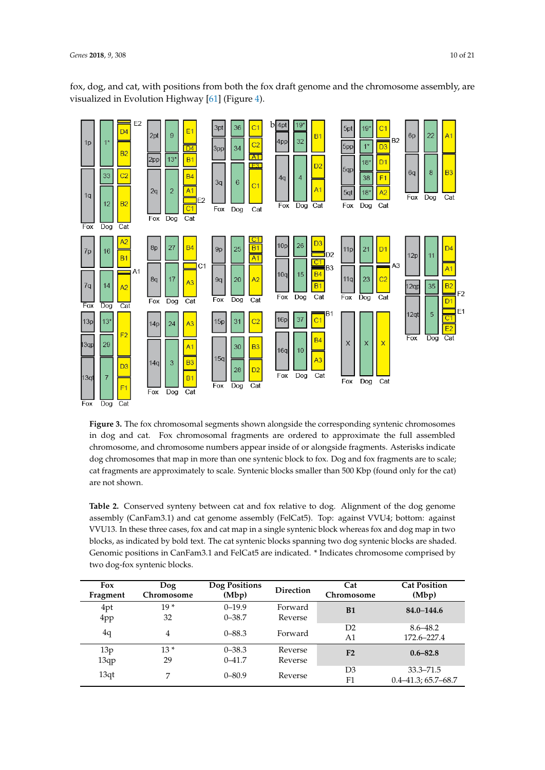<span id="page-10-0"></span>fox, dog, and cat, with positions from both the fox draft genome and the chromosome assembly, are visualized in Evolution Highway [\[61\]](#page-19-8) (Figure [4\)](#page-10-0).



**Figure 3.** The fox chromosomal segments shown alongside the corresponding syntenic chromosomes in dog and cat. Fox chromosomal fragments are ordered to approximate the full assembled chromosome, and chromosome numbers appear inside of or alongside fragments. Asterisks indicate dog chromosomes that map in more than one syntenic block to fox. Dog and fox fragments are to scale; cat fragments are approximately to scale. Syntenic blocks smaller than 500 Kbp (found only for the cat) are not shown.

blocks, as indicated by bold text. The cat syntenic blocks spanning two dog syntenic blocks are shaded. **Table 2.** Conserved synteny between cat and fox relative to dog. Alignment of the dog genome assembly (CanFam3.1) and cat genome assembly (FelCat5). Top: against VVU4; bottom: against VVU13. In these three cases, fox and cat map in a single syntenic block whereas fox and dog map in two Genomic positions in CanFam3.1 and FelCat5 are indicated. \* Indicates chromosome comprised by two dog-fox syntenic blocks.

| Fox<br>Fragment | Dog<br>Chromosome | Dog Positions<br>(Mbp)   | <b>Direction</b>   | Cat<br>Chromosome    | <b>Cat Position</b><br>(Mbp)              |
|-----------------|-------------------|--------------------------|--------------------|----------------------|-------------------------------------------|
| 4pt<br>4pp      | $19*$<br>32       | $0 - 19.9$<br>$0 - 38.7$ | Forward<br>Reverse | B1                   | $84.0 - 144.6$                            |
| 4q              | $\overline{4}$    | $0 - 88.3$               | Forward            | D2<br>A1             | $8.6 - 48.2$<br>172.6–227.4               |
| 13p<br>13qp     | $13*$<br>29       | $0 - 38.3$<br>$0 - 41.7$ | Reverse<br>Reverse | F <sub>2</sub>       | $0.6 - 82.8$                              |
| 13qt            | 7                 | $0 - 80.9$               | Reverse            | D <sub>3</sub><br>F1 | $33.3 - 71.5$<br>$0.4 - 41.3$ ; 65.7-68.7 |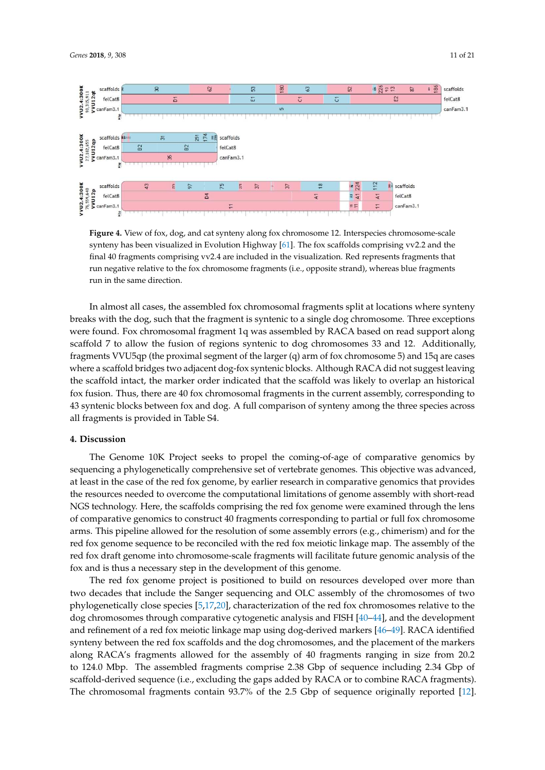

**Figure 4.** View of fox, dog, and cat synteny along fox chromosome 12. Interspecies chromosome-scale synteny has been visualized in Evolution Highway [\[61\]](#page-19-8). The fox scaffolds comprising vv2.2 and the final 40 fragments comprising vv2.4 are included in the visualization. Red represents fragments that run negative relative to the fox chromosome fragments (i.e., opposite strand), whereas blue fragments run in the same direction.

the scaffold intact, the marker order indicated that the scaffold was likely to overlap an historical む む 43 syntenic blocks between fox and dog. A full comparison of synteny among the three species across む In almost all cases, the assembled fox chromosomal fragments split at locations where synteny breaks with the dog, such that the fragment is syntenic to a single dog chromosome. Three exceptions were found. Fox chromosomal fragment 1q was assembled by RACA based on read support along scaffold 7 to allow the fusion of regions syntenic to dog chromosomes 33 and 12. Additionally, fragments VVU5qp (the proximal segment of the larger (q) arm of fox chromosome 5) and 15q are cases where a scaffold bridges two adjacent dog-fox syntenic blocks. Although RACA did not suggest leaving fox fusion. Thus, there are 40 fox chromosomal fragments in the current assembly, corresponding to all fragments is provided in Table S4.

#### **4. Discussion**

The Genome 10K Project seeks to propel the coming-of-age of comparative genomics by at least in the case of the red fox genome, by earlier research in comparative genomics that provides sequencing a phylogenetically comprehensive set of vertebrate genomes. This objective was advanced, the resources needed to overcome the computational limitations of genome assembly with short-read NGS technology. Here, the scaffolds comprising the red fox genome were examined through the lens of comparative genomics to construct 40 fragments corresponding to partial or full fox chromosome arms. This pipeline allowed for the resolution of some assembly errors (e.g., chimerism) and for the red fox genome sequence to be reconciled with the red fox meiotic linkage map. The assembly of the red fox draft genome into chromosome-scale fragments will facilitate future genomic analysis of the fox and is thus a necessary step in the development of this genome.

む scaffold-derived sequence (i.e., excluding the gaps added by RACA or to combine RACA fragments). The chromosomal fragments contain 93.7% of the 2.5 Gbp of sequence originally reported [\[12\]](#page-17-1). The red fox genome project is positioned to build on resources developed over more than two decades that include the Sanger sequencing and OLC assembly of the chromosomes of two phylogenetically close species [\[5](#page-16-4)[,17](#page-17-6)[,20\]](#page-17-9), characterization of the red fox chromosomes relative to the dog chromosomes through comparative cytogenetic analysis and FISH [\[40](#page-18-7)[–44\]](#page-18-11), and the development and refinement of a red fox meiotic linkage map using dog-derived markers [\[46](#page-18-14)[–49\]](#page-18-13). RACA identified synteny between the red fox scaffolds and the dog chromosomes, and the placement of the markers along RACA's fragments allowed for the assembly of 40 fragments ranging in size from 20.2 to 124.0 Mbp. The assembled fragments comprise 2.38 Gbp of sequence including 2.34 Gbp of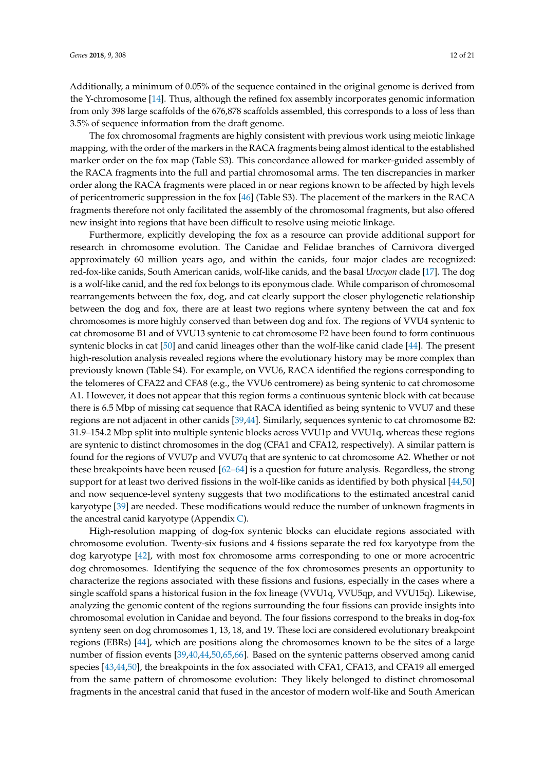Additionally, a minimum of 0.05% of the sequence contained in the original genome is derived from the Y-chromosome [\[14\]](#page-17-3). Thus, although the refined fox assembly incorporates genomic information from only 398 large scaffolds of the 676,878 scaffolds assembled, this corresponds to a loss of less than 3.5% of sequence information from the draft genome.

The fox chromosomal fragments are highly consistent with previous work using meiotic linkage mapping, with the order of the markers in the RACA fragments being almost identical to the established marker order on the fox map (Table S3). This concordance allowed for marker-guided assembly of the RACA fragments into the full and partial chromosomal arms. The ten discrepancies in marker order along the RACA fragments were placed in or near regions known to be affected by high levels of pericentromeric suppression in the fox [\[46\]](#page-18-14) (Table S3). The placement of the markers in the RACA fragments therefore not only facilitated the assembly of the chromosomal fragments, but also offered new insight into regions that have been difficult to resolve using meiotic linkage.

Furthermore, explicitly developing the fox as a resource can provide additional support for research in chromosome evolution. The Canidae and Felidae branches of Carnivora diverged approximately 60 million years ago, and within the canids, four major clades are recognized: red-fox-like canids, South American canids, wolf-like canids, and the basal *Urocyon* clade [\[17\]](#page-17-6). The dog is a wolf-like canid, and the red fox belongs to its eponymous clade. While comparison of chromosomal rearrangements between the fox, dog, and cat clearly support the closer phylogenetic relationship between the dog and fox, there are at least two regions where synteny between the cat and fox chromosomes is more highly conserved than between dog and fox. The regions of VVU4 syntenic to cat chromosome B1 and of VVU13 syntenic to cat chromosome F2 have been found to form continuous syntenic blocks in cat [\[50\]](#page-18-15) and canid lineages other than the wolf-like canid clade [\[44\]](#page-18-11). The present high-resolution analysis revealed regions where the evolutionary history may be more complex than previously known (Table S4). For example, on VVU6, RACA identified the regions corresponding to the telomeres of CFA22 and CFA8 (e.g., the VVU6 centromere) as being syntenic to cat chromosome A1. However, it does not appear that this region forms a continuous syntenic block with cat because there is 6.5 Mbp of missing cat sequence that RACA identified as being syntenic to VVU7 and these regions are not adjacent in other canids [\[39,](#page-18-6)[44\]](#page-18-11). Similarly, sequences syntenic to cat chromosome B2: 31.9–154.2 Mbp split into multiple syntenic blocks across VVU1p and VVU1q, whereas these regions are syntenic to distinct chromosomes in the dog (CFA1 and CFA12, respectively). A similar pattern is found for the regions of VVU7p and VVU7q that are syntenic to cat chromosome A2. Whether or not these breakpoints have been reused [\[62](#page-19-9)[–64\]](#page-19-10) is a question for future analysis. Regardless, the strong support for at least two derived fissions in the wolf-like canids as identified by both physical [\[44](#page-18-11)[,50\]](#page-18-15) and now sequence-level synteny suggests that two modifications to the estimated ancestral canid karyotype [\[39\]](#page-18-6) are needed. These modifications would reduce the number of unknown fragments in the ancestral canid karyotype (Appendix [C\)](#page-15-0).

High-resolution mapping of dog-fox syntenic blocks can elucidate regions associated with chromosome evolution. Twenty-six fusions and 4 fissions separate the red fox karyotype from the dog karyotype [\[42\]](#page-18-9), with most fox chromosome arms corresponding to one or more acrocentric dog chromosomes. Identifying the sequence of the fox chromosomes presents an opportunity to characterize the regions associated with these fissions and fusions, especially in the cases where a single scaffold spans a historical fusion in the fox lineage (VVU1q, VVU5qp, and VVU15q). Likewise, analyzing the genomic content of the regions surrounding the four fissions can provide insights into chromosomal evolution in Canidae and beyond. The four fissions correspond to the breaks in dog-fox synteny seen on dog chromosomes 1, 13, 18, and 19. These loci are considered evolutionary breakpoint regions (EBRs) [\[44\]](#page-18-11), which are positions along the chromosomes known to be the sites of a large number of fission events [\[39,](#page-18-6)[40,](#page-18-7)[44,](#page-18-11)[50,](#page-18-15)[65,](#page-19-11)[66\]](#page-19-12). Based on the syntenic patterns observed among canid species [\[43](#page-18-10)[,44](#page-18-11)[,50\]](#page-18-15), the breakpoints in the fox associated with CFA1, CFA13, and CFA19 all emerged from the same pattern of chromosome evolution: They likely belonged to distinct chromosomal fragments in the ancestral canid that fused in the ancestor of modern wolf-like and South American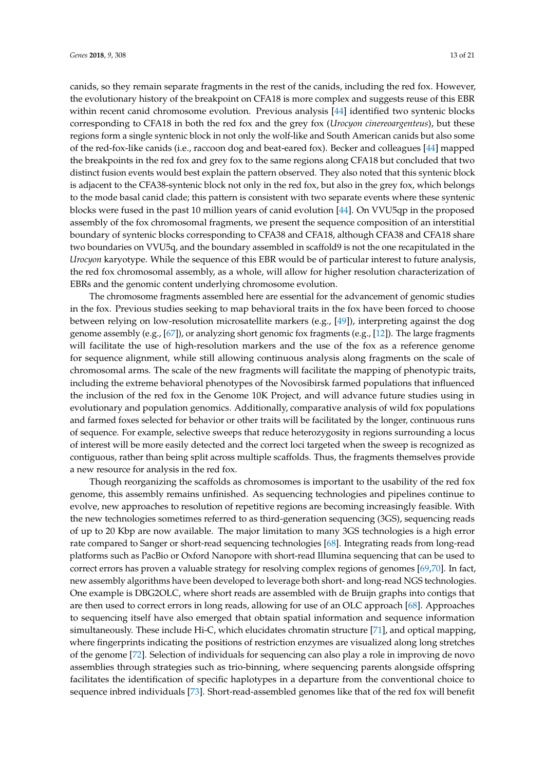canids, so they remain separate fragments in the rest of the canids, including the red fox. However, the evolutionary history of the breakpoint on CFA18 is more complex and suggests reuse of this EBR within recent canid chromosome evolution. Previous analysis [\[44\]](#page-18-11) identified two syntenic blocks corresponding to CFA18 in both the red fox and the grey fox (*Urocyon cinereoargenteus*), but these regions form a single syntenic block in not only the wolf-like and South American canids but also some of the red-fox-like canids (i.e., raccoon dog and beat-eared fox). Becker and colleagues [\[44\]](#page-18-11) mapped the breakpoints in the red fox and grey fox to the same regions along CFA18 but concluded that two distinct fusion events would best explain the pattern observed. They also noted that this syntenic block is adjacent to the CFA38-syntenic block not only in the red fox, but also in the grey fox, which belongs to the mode basal canid clade; this pattern is consistent with two separate events where these syntenic blocks were fused in the past 10 million years of canid evolution [\[44\]](#page-18-11). On VVU5qp in the proposed assembly of the fox chromosomal fragments, we present the sequence composition of an interstitial boundary of syntenic blocks corresponding to CFA38 and CFA18, although CFA38 and CFA18 share two boundaries on VVU5q, and the boundary assembled in scaffold9 is not the one recapitulated in the *Urocyon* karyotype. While the sequence of this EBR would be of particular interest to future analysis, the red fox chromosomal assembly, as a whole, will allow for higher resolution characterization of EBRs and the genomic content underlying chromosome evolution.

The chromosome fragments assembled here are essential for the advancement of genomic studies in the fox. Previous studies seeking to map behavioral traits in the fox have been forced to choose between relying on low-resolution microsatellite markers (e.g., [\[49\]](#page-18-13)), interpreting against the dog genome assembly (e.g., [\[67\]](#page-19-13)), or analyzing short genomic fox fragments (e.g., [\[12\]](#page-17-1)). The large fragments will facilitate the use of high-resolution markers and the use of the fox as a reference genome for sequence alignment, while still allowing continuous analysis along fragments on the scale of chromosomal arms. The scale of the new fragments will facilitate the mapping of phenotypic traits, including the extreme behavioral phenotypes of the Novosibirsk farmed populations that influenced the inclusion of the red fox in the Genome 10K Project, and will advance future studies using in evolutionary and population genomics. Additionally, comparative analysis of wild fox populations and farmed foxes selected for behavior or other traits will be facilitated by the longer, continuous runs of sequence. For example, selective sweeps that reduce heterozygosity in regions surrounding a locus of interest will be more easily detected and the correct loci targeted when the sweep is recognized as contiguous, rather than being split across multiple scaffolds. Thus, the fragments themselves provide a new resource for analysis in the red fox.

<span id="page-13-0"></span>Though reorganizing the scaffolds as chromosomes is important to the usability of the red fox genome, this assembly remains unfinished. As sequencing technologies and pipelines continue to evolve, new approaches to resolution of repetitive regions are becoming increasingly feasible. With the new technologies sometimes referred to as third-generation sequencing (3GS), sequencing reads of up to 20 Kbp are now available. The major limitation to many 3GS technologies is a high error rate compared to Sanger or short-read sequencing technologies [\[68\]](#page-19-14). Integrating reads from long-read platforms such as PacBio or Oxford Nanopore with short-read Illumina sequencing that can be used to correct errors has proven a valuable strategy for resolving complex regions of genomes [\[69,](#page-19-15)[70\]](#page-19-16). In fact, new assembly algorithms have been developed to leverage both short- and long-read NGS technologies. One example is DBG2OLC, where short reads are assembled with de Bruijn graphs into contigs that are then used to correct errors in long reads, allowing for use of an OLC approach [\[68\]](#page-19-14). Approaches to sequencing itself have also emerged that obtain spatial information and sequence information simultaneously. These include Hi-C, which elucidates chromatin structure [\[71\]](#page-19-17), and optical mapping, where fingerprints indicating the positions of restriction enzymes are visualized along long stretches of the genome [\[72\]](#page-19-18). Selection of individuals for sequencing can also play a role in improving de novo assemblies through strategies such as trio-binning, where sequencing parents alongside offspring facilitates the identification of specific haplotypes in a departure from the conventional choice to sequence inbred individuals [\[73\]](#page-19-19). Short-read-assembled genomes like that of the red fox will benefit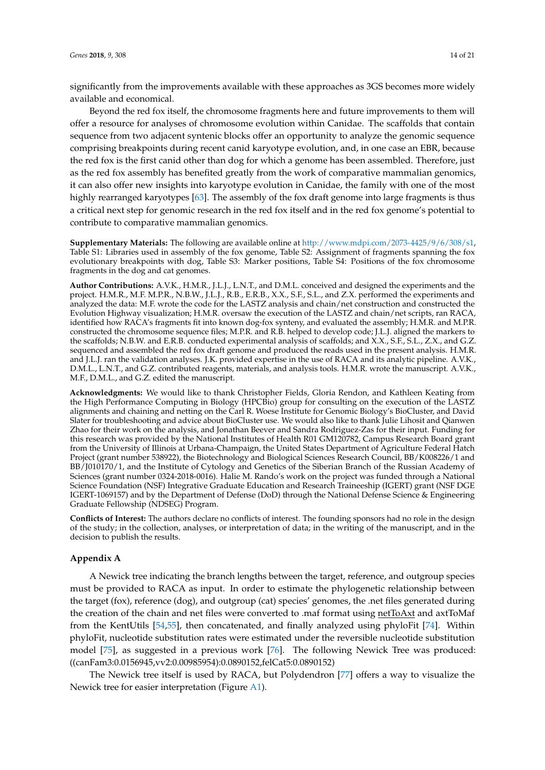<span id="page-14-1"></span>significantly from the improvements available with these approaches as 3GS becomes more widely available and economical.

Beyond the red fox itself, the chromosome fragments here and future improvements to them will offer a resource for analyses of chromosome evolution within Canidae. The scaffolds that contain sequence from two adjacent syntenic blocks offer an opportunity to analyze the genomic sequence comprising breakpoints during recent canid karyotype evolution, and, in one case an EBR, because the red fox is the first canid other than dog for which a genome has been assembled. Therefore, just as the red fox assembly has benefited greatly from the work of comparative mammalian genomics, it can also offer new insights into karyotype evolution in Canidae, the family with one of the most highly rearranged karyotypes [\[63\]](#page-19-20). The assembly of the fox draft genome into large fragments is thus a critical next step for genomic research in the red fox itself and in the red fox genome's potential to contribute to comparative mammalian genomics.

**Supplementary Materials:** The following are available online at [http://www.mdpi.com/2073-4425/9/6/308/s1,](http://www.mdpi.com/2073-4425/9/6/308/s1) Table S1: Libraries used in assembly of the fox genome, Table S2: Assignment of fragments spanning the fox evolutionary breakpoints with dog, Table S3: Marker positions, Table S4: Positions of the fox chromosome fragments in the dog and cat genomes.

<span id="page-14-0"></span>**Author Contributions:** A.V.K., H.M.R., J.L.J., L.N.T., and D.M.L. conceived and designed the experiments and the project. H.M.R., M.F. M.P.R., N.B.W., J.L.J., R.B., E.R.B., X.X., S.F., S.L., and Z.X. performed the experiments and analyzed the data: M.F. wrote the code for the LASTZ analysis and chain/net construction and constructed the Evolution Highway visualization; H.M.R. oversaw the execution of the LASTZ and chain/net scripts, ran RACA, identified how RACA's fragments fit into known dog-fox synteny, and evaluated the assembly; H.M.R. and M.P.R. constructed the chromosome sequence files; M.P.R. and R.B. helped to develop code; J.L.J. aligned the markers to the scaffolds; N.B.W. and E.R.B. conducted experimental analysis of scaffolds; and X.X., S.F., S.L., Z.X., and G.Z. sequenced and assembled the red fox draft genome and produced the reads used in the present analysis. H.M.R. and J.L.J. ran the validation analyses. J.K. provided expertise in the use of RACA and its analytic pipeline. A.V.K., D.M.L., L.N.T., and G.Z. contributed reagents, materials, and analysis tools. H.M.R. wrote the manuscript. A.V.K., M.F., D.M.L., and G.Z. edited the manuscript.

**Acknowledgments:** We would like to thank Christopher Fields, Gloria Rendon, and Kathleen Keating from the High Performance Computing in Biology (HPCBio) group for consulting on the execution of the LASTZ alignments and chaining and netting on the Carl R. Woese Institute for Genomic Biology's BioCluster, and David Slater for troubleshooting and advice about BioCluster use. We would also like to thank Julie Lihosit and Qianwen Zhao for their work on the analysis, and Jonathan Beever and Sandra Rodriguez-Zas for their input. Funding for this research was provided by the National Institutes of Health R01 GM120782, Campus Research Board grant from the University of Illinois at Urbana-Champaign, the United States Department of Agriculture Federal Hatch Project (grant number 538922), the Biotechnology and Biological Sciences Research Council, BB/K008226/1 and BB/J010170/1, and the Institute of Cytology and Genetics of the Siberian Branch of the Russian Academy of Sciences (grant number 0324-2018-0016). Halie M. Rando's work on the project was funded through a National Science Foundation (NSF) Integrative Graduate Education and Research Traineeship (IGERT) grant (NSF DGE IGERT-1069157) and by the Department of Defense (DoD) through the National Defense Science & Engineering Graduate Fellowship (NDSEG) Program.

**Conflicts of Interest:** The authors declare no conflicts of interest. The founding sponsors had no role in the design of the study; in the collection, analyses, or interpretation of data; in the writing of the manuscript, and in the decision to publish the results.

#### **Appendix A**

A Newick tree indicating the branch lengths between the target, reference, and outgroup species must be provided to RACA as input. In order to estimate the phylogenetic relationship between the target (fox), reference (dog), and outgroup (cat) species' genomes, the .net files generated during the creation of the chain and net files were converted to .maf format using netToAxt and axtToMaf from the KentUtils [\[54,](#page-19-1)[55\]](#page-19-2), then concatenated, and finally analyzed using phyloFit [\[74\]](#page-19-21). Within phyloFit, nucleotide substitution rates were estimated under the reversible nucleotide substitution model [\[75\]](#page-20-0), as suggested in a previous work [\[76\]](#page-20-1). The following Newick Tree was produced: ((canFam3:0.0156945,vv2:0.00985954):0.0890152,felCat5:0.0890152)

The Newick tree itself is used by RACA, but Polydendron [\[77\]](#page-20-2) offers a way to visualize the Newick tree for easier interpretation (Figure [A1\)](#page-14-1).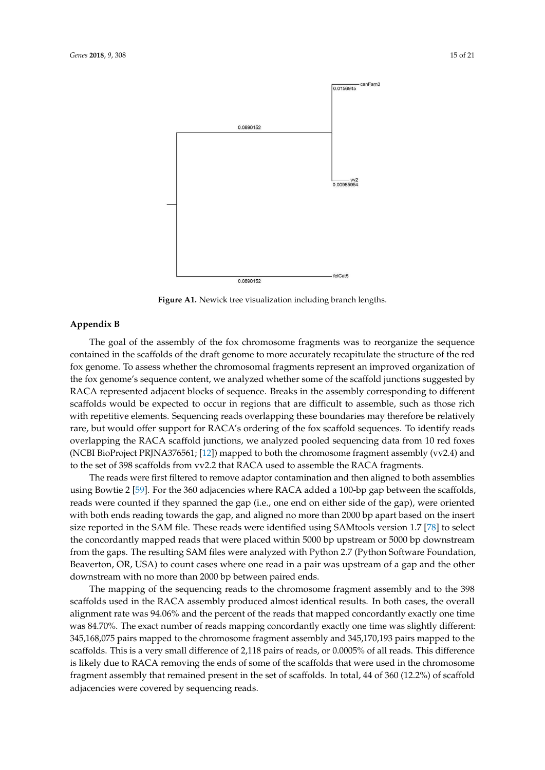<span id="page-15-0"></span>

**Figure A1.** Newick tree visualization including branch lengths.

#### **Appendix B**

fox genome. To assess whether the chromosomal fragments represent an improved organization of with repetitive elements. Sequencing reads overlapping these boundaries may therefore be relatively The goal of the assembly of the fox chromosome fragments was to reorganize the sequence contained in the scaffolds of the draft genome to more accurately recapitulate the structure of the red the fox genome's sequence content, we analyzed whether some of the scaffold junctions suggested by RACA represented adjacent blocks of sequence. Breaks in the assembly corresponding to different scaffolds would be expected to occur in regions that are difficult to assemble, such as those rich rare, but would offer support for RACA's ordering of the fox scaffold sequences. To identify reads overlapping the RACA scaffold junctions, we analyzed pooled sequencing data from 10 red foxes (NCBI BioProject PRJNA376561; [\[12\]](#page-17-1)) mapped to both the chromosome fragment assembly (vv2.4) and to the set of 398 scaffolds from vv2.2 that RACA used to assemble the RACA fragments.

The reads were first filtered to remove adaptor contamination and then aligned to both assemblies using Bowtie 2 [\[59\]](#page-19-6). For the 360 adjacencies where RACA added a 100-bp gap between the scaffolds, reads were counted if they spanned the gap (i.e., one end on either side of the gap), were oriented with both ends reading towards the gap, and aligned no more than 2000 bp apart based on the insert size reported in the SAM file. These reads were identified using SAMtools version 1.7 [\[78\]](#page-20-3) to select the concordantly mapped reads that were placed within 5000 bp upstream or 5000 bp downstream from the gaps. The resulting SAM files were analyzed with Python 2.7 (Python Software Foundation, Beaverton, OR, USA) to count cases where one read in a pair was upstream of a gap and the other downstream with no more than 2000 bp between paired ends.

The mapping of the sequencing reads to the chromosome fragment assembly and to the 398 scaffolds used in the RACA assembly produced almost identical results. In both cases, the overall alignment rate was 94.06% and the percent of the reads that mapped concordantly exactly one time was 84.70%. The exact number of reads mapping concordantly exactly one time was slightly different: 345,168,075 pairs mapped to the chromosome fragment assembly and 345,170,193 pairs mapped to the scaffolds. This is a very small difference of 2,118 pairs of reads, or 0.0005% of all reads. This difference is likely due to RACA removing the ends of some of the scaffolds that were used in the chromosome fragment assembly that remained present in the set of scaffolds. In total, 44 of 360 (12.2%) of scaffold adjacencies were covered by sequencing reads.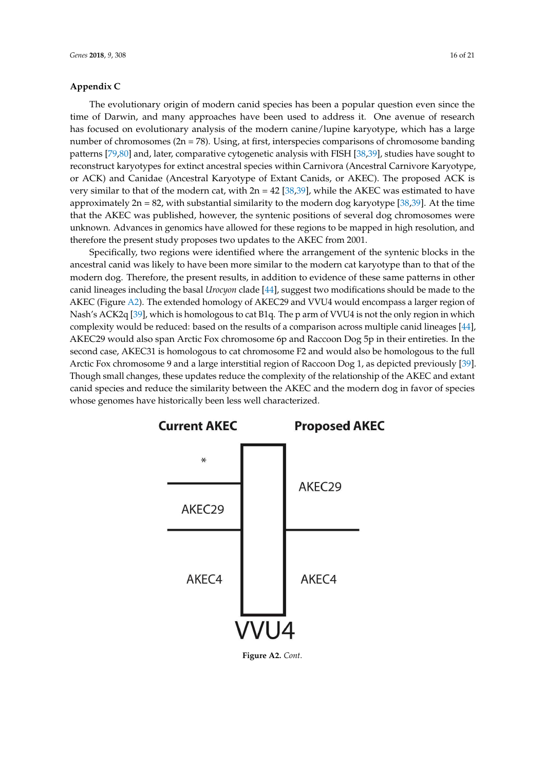#### <span id="page-16-10"></span>**Appendix C**

The evolutionary origin of modern canid species has been a popular question even since the time of Darwin, and many approaches have been used to address it. One avenue of research has focused on evolutionary analysis of the modern canine/lupine karyotype, which has a large number of chromosomes (2n = 78). Using, at first, interspecies comparisons of chromosome banding patterns [\[79](#page-20-4)[,80\]](#page-20-5) and, later, comparative cytogenetic analysis with FISH [\[38,](#page-18-5)[39\]](#page-18-6), studies have sought to reconstruct karyotypes for extinct ancestral species within Carnivora (Ancestral Carnivore Karyotype, or ACK) and Canidae (Ancestral Karyotype of Extant Canids, or AKEC). The proposed ACK is very similar to that of the modern cat, with  $2n = 42$  [\[38](#page-18-5)[,39\]](#page-18-6), while the AKEC was estimated to have approximately  $2n = 82$ , with substantial similarity to the modern dog karyotype [\[38](#page-18-5)[,39\]](#page-18-6). At the time that the AKEC was published, however, the syntenic positions of several dog chromosomes were unknown. Advances in genomics have allowed for these regions to be mapped in high resolution, and therefore the present study proposes two updates to the AKEC from 2001.

Specifically, two regions were identified where the arrangement of the syntenic blocks in the ancestral canid was likely to have been more similar to the modern cat karyotype than to that of the modern dog. Therefore, the present results, in addition to evidence of these same patterns in other canid lineages including the basal *Urocyon* clade [\[44\]](#page-18-11), suggest two modifications should be made to the AKEC (Figure [A2\)](#page-16-10). The extended homology of AKEC29 and VVU4 would encompass a larger region of Nash's ACK2q [\[39\]](#page-18-6), which is homologous to cat B1q. The p arm of VVU4 is not the only region in which complexity would be reduced: based on the results of a comparison across multiple canid lineages [\[44\]](#page-18-11), AKEC29 would also span Arctic Fox chromosome 6p and Raccoon Dog 5p in their entireties. In the second case, AKEC31 is homologous to cat chromosome F2 and would also be homologous to the full Arctic Fox chromosome 9 and a large interstitial region of Raccoon Dog 1, as depicted previously [\[39\]](#page-18-6). Though small changes, these updates reduce the complexity of the relationship of the AKEC and extant canid species and reduce the similarity between the AKEC and the modern dog in favor of species whose genomes have historically been less well characterized.

<span id="page-16-5"></span><span id="page-16-4"></span><span id="page-16-3"></span><span id="page-16-2"></span><span id="page-16-1"></span><span id="page-16-0"></span>

<span id="page-16-9"></span><span id="page-16-8"></span><span id="page-16-7"></span><span id="page-16-6"></span>**Figure A2.** *Cont*.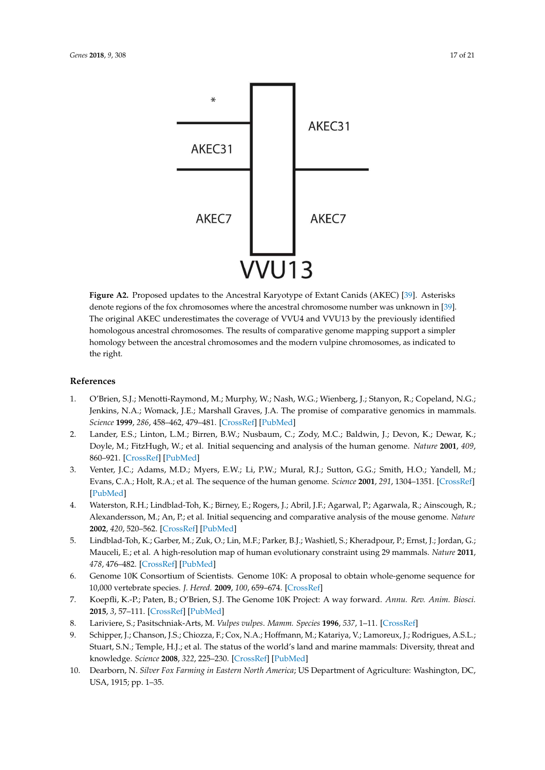<span id="page-17-2"></span><span id="page-17-1"></span><span id="page-17-0"></span>

<span id="page-17-8"></span><span id="page-17-7"></span><span id="page-17-6"></span><span id="page-17-5"></span><span id="page-17-4"></span><span id="page-17-3"></span>**Figure A2.** Proposed updates to the Ancestral Karyotype of Extant Canids (AKEC) [\[39\]](#page-18-6). Asterisks denote regions of the fox chromosomes where the ancestral chromosome number was unknown in [\[39\]](#page-18-6). The original AKEC underestimates the coverage of VVU4 and VVU13 by the previously identified homologous ancestral chromosomes. The results of comparative genome mapping support a simpler homology between the ancestral chromosomes and the modern vulpine chromosomes, as indicated to the right.

#### <span id="page-17-10"></span><span id="page-17-9"></span>**References**

- <span id="page-17-11"></span>1. O'Brien, S.J.; Menotti-Raymond, M.; Murphy, W.; Nash, W.G.; Wienberg, J.; Stanyon, R.; Copeland, N.G.; Jenkins, N.A.; Womack, J.E.; Marshall Graves, J.A. The promise of comparative genomics in mammals. *Science* **1999**, *286*, 458–462, 479–481. [\[CrossRef\]](http://dx.doi.org/10.1126/science.286.5439.458) [\[PubMed\]](http://www.ncbi.nlm.nih.gov/pubmed/10521336)
- <span id="page-17-13"></span><span id="page-17-12"></span>2. Lander, E.S.; Linton, L.M.; Birren, B.W.; Nusbaum, C.; Zody, M.C.; Baldwin, J.; Devon, K.; Dewar, K.; Doyle, M.; FitzHugh, W.; et al. Initial sequencing and analysis of the human genome. *Nature* **2001**, *409*, 860–921. [\[CrossRef\]](http://dx.doi.org/10.1038/35057062) [\[PubMed\]](http://www.ncbi.nlm.nih.gov/pubmed/11237011)
- <span id="page-17-14"></span>3. Venter, J.C.; Adams, M.D.; Myers, E.W.; Li, P.W.; Mural, R.J.; Sutton, G.G.; Smith, H.O.; Yandell, M.; Evans, C.A.; Holt, R.A.; et al. The sequence of the human genome. *Science* **2001**, *291*, 1304–1351. [\[CrossRef\]](http://dx.doi.org/10.1126/science.1058040) [\[PubMed\]](http://www.ncbi.nlm.nih.gov/pubmed/11181995)
- <span id="page-17-15"></span>4. Waterston, R.H.; Lindblad-Toh, K.; Birney, E.; Rogers, J.; Abril, J.F.; Agarwal, P.; Agarwala, R.; Ainscough, R.; Alexandersson, M.; An, P.; et al. Initial sequencing and comparative analysis of the mouse genome. *Nature* **2002**, *420*, 520–562. [\[CrossRef\]](http://dx.doi.org/10.1038/nature01262) [\[PubMed\]](http://www.ncbi.nlm.nih.gov/pubmed/12466850)
- <span id="page-17-16"></span>5. Lindblad-Toh, K.; Garber, M.; Zuk, O.; Lin, M.F.; Parker, B.J.; Washietl, S.; Kheradpour, P.; Ernst, J.; Jordan, G.; Mauceli, E.; et al. A high-resolution map of human evolutionary constraint using 29 mammals. *Nature* **2011**, *478*, 476–482. [\[CrossRef\]](http://dx.doi.org/10.1038/nature10530) [\[PubMed\]](http://www.ncbi.nlm.nih.gov/pubmed/21993624)
- <span id="page-17-17"></span>6. Genome 10K Consortium of Scientists. Genome 10K: A proposal to obtain whole-genome sequence for 10,000 vertebrate species. *J. Hered.* **2009**, *100*, 659–674. [\[CrossRef\]](http://dx.doi.org/10.1093/jhered/esp086)
- <span id="page-17-18"></span>7. Koepfli, K.-P.; Paten, B.; O'Brien, S.J. The Genome 10K Project: A way forward. *Annu. Rev. Anim. Biosci.* **2015**, *3*, 57–111. [\[CrossRef\]](http://dx.doi.org/10.1146/annurev-animal-090414-014900) [\[PubMed\]](http://www.ncbi.nlm.nih.gov/pubmed/25689317)
- 8. Lariviere, S.; Pasitschniak-Arts, M. *Vulpes vulpes*. *Mamm. Species* **1996**, *537*, 1–11. [\[CrossRef\]](http://dx.doi.org/10.2307/3504236)
- <span id="page-17-19"></span>9. Schipper, J.; Chanson, J.S.; Chiozza, F.; Cox, N.A.; Hoffmann, M.; Katariya, V.; Lamoreux, J.; Rodrigues, A.S.L.; Stuart, S.N.; Temple, H.J.; et al. The status of the world's land and marine mammals: Diversity, threat and knowledge. *Science* **2008**, *322*, 225–230. [\[CrossRef\]](http://dx.doi.org/10.1126/science.1165115) [\[PubMed\]](http://www.ncbi.nlm.nih.gov/pubmed/18845749)
- <span id="page-17-20"></span>10. Dearborn, N. *Silver Fox Farming in Eastern North America*; US Department of Agriculture: Washington, DC, USA, 1915; pp. 1–35.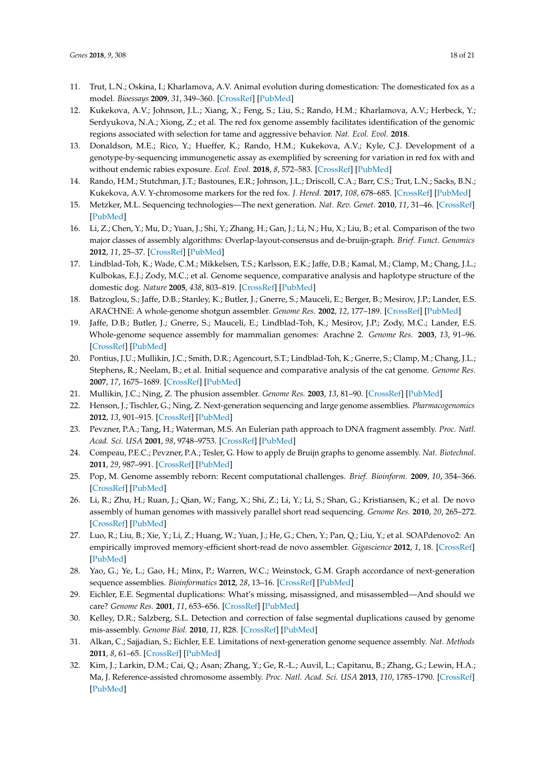- <span id="page-18-0"></span>11. Trut, L.N.; Oskina, I.; Kharlamova, A.V. Animal evolution during domestication: The domesticated fox as a model. *Bioessays* **2009**, *31*, 349–360. [\[CrossRef\]](http://dx.doi.org/10.1002/bies.200800070) [\[PubMed\]](http://www.ncbi.nlm.nih.gov/pubmed/19260016)
- <span id="page-18-1"></span>12. Kukekova, A.V.; Johnson, J.L.; Xiang, X.; Feng, S.; Liu, S.; Rando, H.M.; Kharlamova, A.V.; Herbeck, Y.; Serdyukova, N.A.; Xiong, Z.; et al. The red fox genome assembly facilitates identification of the genomic regions associated with selection for tame and aggressive behavior. *Nat. Ecol. Evol.* **2018**.
- <span id="page-18-2"></span>13. Donaldson, M.E.; Rico, Y.; Hueffer, K.; Rando, H.M.; Kukekova, A.V.; Kyle, C.J. Development of a genotype-by-sequencing immunogenetic assay as exemplified by screening for variation in red fox with and without endemic rabies exposure. *Ecol. Evol.* **2018**, *8*, 572–583. [\[CrossRef\]](http://dx.doi.org/10.1002/ece3.3583) [\[PubMed\]](http://www.ncbi.nlm.nih.gov/pubmed/29321894)
- <span id="page-18-3"></span>14. Rando, H.M.; Stutchman, J.T.; Bastounes, E.R.; Johnson, J.L.; Driscoll, C.A.; Barr, C.S.; Trut, L.N.; Sacks, B.N.; Kukekova, A.V. Y-chromosome markers for the red fox. *J. Hered.* **2017**, *108*, 678–685. [\[CrossRef\]](http://dx.doi.org/10.1093/jhered/esx066) [\[PubMed\]](http://www.ncbi.nlm.nih.gov/pubmed/28821189)
- <span id="page-18-4"></span>15. Metzker, M.L. Sequencing technologies—The next generation. *Nat. Rev. Genet.* **2010**, *11*, 31–46. [\[CrossRef\]](http://dx.doi.org/10.1038/nrg2626) [\[PubMed\]](http://www.ncbi.nlm.nih.gov/pubmed/19997069)
- <span id="page-18-5"></span>16. Li, Z.; Chen, Y.; Mu, D.; Yuan, J.; Shi, Y.; Zhang, H.; Gan, J.; Li, N.; Hu, X.; Liu, B.; et al. Comparison of the two major classes of assembly algorithms: Overlap-layout-consensus and de-bruijn-graph. *Brief. Funct. Genomics* **2012**, *11*, 25–37. [\[CrossRef\]](http://dx.doi.org/10.1093/bfgp/elr035) [\[PubMed\]](http://www.ncbi.nlm.nih.gov/pubmed/22184334)
- <span id="page-18-7"></span><span id="page-18-6"></span>17. Lindblad-Toh, K.; Wade, C.M.; Mikkelsen, T.S.; Karlsson, E.K.; Jaffe, D.B.; Kamal, M.; Clamp, M.; Chang, J.L.; Kulbokas, E.J.; Zody, M.C.; et al. Genome sequence, comparative analysis and haplotype structure of the domestic dog. *Nature* **2005**, *438*, 803–819. [\[CrossRef\]](http://dx.doi.org/10.1038/nature04338) [\[PubMed\]](http://www.ncbi.nlm.nih.gov/pubmed/16341006)
- <span id="page-18-8"></span>18. Batzoglou, S.; Jaffe, D.B.; Stanley, K.; Butler, J.; Gnerre, S.; Mauceli, E.; Berger, B.; Mesirov, J.P.; Lander, E.S. ARACHNE: A whole-genome shotgun assembler. *Genome Res.* **2002**, *12*, 177–189. [\[CrossRef\]](http://dx.doi.org/10.1101/gr.208902) [\[PubMed\]](http://www.ncbi.nlm.nih.gov/pubmed/12097347)
- 19. Jaffe, D.B.; Butler, J.; Gnerre, S.; Mauceli, E.; Lindblad-Toh, K.; Mesirov, J.P.; Zody, M.C.; Lander, E.S. Whole-genome sequence assembly for mammalian genomes: Arachne 2. *Genome Res.* **2003**, *13*, 91–96. [\[CrossRef\]](http://dx.doi.org/10.1101/gr.828403) [\[PubMed\]](http://www.ncbi.nlm.nih.gov/pubmed/12529310)
- <span id="page-18-9"></span>20. Pontius, J.U.; Mullikin, J.C.; Smith, D.R.; Agencourt, S.T.; Lindblad-Toh, K.; Gnerre, S.; Clamp, M.; Chang, J.L.; Stephens, R.; Neelam, B.; et al. Initial sequence and comparative analysis of the cat genome. *Genome Res.* **2007**, *17*, 1675–1689. [\[CrossRef\]](http://dx.doi.org/10.1101/gr.6380007) [\[PubMed\]](http://www.ncbi.nlm.nih.gov/pubmed/17975172)
- <span id="page-18-10"></span>21. Mullikin, J.C.; Ning, Z. The phusion assembler. *Genome Res.* **2003**, *13*, 81–90. [\[CrossRef\]](http://dx.doi.org/10.1101/gr.731003) [\[PubMed\]](http://www.ncbi.nlm.nih.gov/pubmed/12529309)
- <span id="page-18-11"></span>22. Henson, J.; Tischler, G.; Ning, Z. Next-generation sequencing and large genome assemblies. *Pharmacogenomics* **2012**, *13*, 901–915. [\[CrossRef\]](http://dx.doi.org/10.2217/pgs.12.72) [\[PubMed\]](http://www.ncbi.nlm.nih.gov/pubmed/22676195)
- 23. Pevzner, P.A.; Tang, H.; Waterman, M.S. An Eulerian path approach to DNA fragment assembly. *Proc. Natl. Acad. Sci. USA* **2001**, *98*, 9748–9753. [\[CrossRef\]](http://dx.doi.org/10.1073/pnas.171285098) [\[PubMed\]](http://www.ncbi.nlm.nih.gov/pubmed/11504945)
- <span id="page-18-12"></span>24. Compeau, P.E.C.; Pevzner, P.A.; Tesler, G. How to apply de Bruijn graphs to genome assembly. *Nat. Biotechnol.* **2011**, *29*, 987–991. [\[CrossRef\]](http://dx.doi.org/10.1038/nbt.2023) [\[PubMed\]](http://www.ncbi.nlm.nih.gov/pubmed/22068540)
- <span id="page-18-14"></span>25. Pop, M. Genome assembly reborn: Recent computational challenges. *Brief. Bioinform.* **2009**, *10*, 354–366. [\[CrossRef\]](http://dx.doi.org/10.1093/bib/bbp026) [\[PubMed\]](http://www.ncbi.nlm.nih.gov/pubmed/19482960)
- 26. Li, R.; Zhu, H.; Ruan, J.; Qian, W.; Fang, X.; Shi, Z.; Li, Y.; Li, S.; Shan, G.; Kristiansen, K.; et al. De novo assembly of human genomes with massively parallel short read sequencing. *Genome Res.* **2010**, *20*, 265–272. [\[CrossRef\]](http://dx.doi.org/10.1101/gr.097261.109) [\[PubMed\]](http://www.ncbi.nlm.nih.gov/pubmed/20019144)
- 27. Luo, R.; Liu, B.; Xie, Y.; Li, Z.; Huang, W.; Yuan, J.; He, G.; Chen, Y.; Pan, Q.; Liu, Y.; et al. SOAPdenovo2: An empirically improved memory-efficient short-read de novo assembler. *Gigascience* **2012**, *1*, 18. [\[CrossRef\]](http://dx.doi.org/10.1186/2047-217X-1-18) [\[PubMed\]](http://www.ncbi.nlm.nih.gov/pubmed/23587118)
- <span id="page-18-13"></span>28. Yao, G.; Ye, L.; Gao, H.; Minx, P.; Warren, W.C.; Weinstock, G.M. Graph accordance of next-generation sequence assemblies. *Bioinformatics* **2012**, *28*, 13–16. [\[CrossRef\]](http://dx.doi.org/10.1093/bioinformatics/btr588) [\[PubMed\]](http://www.ncbi.nlm.nih.gov/pubmed/22025481)
- 29. Eichler, E.E. Segmental duplications: What's missing, misassigned, and misassembled—And should we care? *Genome Res.* **2001**, *11*, 653–656. [\[CrossRef\]](http://dx.doi.org/10.1101/gr.188901) [\[PubMed\]](http://www.ncbi.nlm.nih.gov/pubmed/11337463)
- <span id="page-18-15"></span>30. Kelley, D.R.; Salzberg, S.L. Detection and correction of false segmental duplications caused by genome mis-assembly. *Genome Biol.* **2010**, *11*, R28. [\[CrossRef\]](http://dx.doi.org/10.1186/gb-2010-11-3-r28) [\[PubMed\]](http://www.ncbi.nlm.nih.gov/pubmed/20219098)
- <span id="page-18-16"></span>31. Alkan, C.; Sajjadian, S.; Eichler, E.E. Limitations of next-generation genome sequence assembly. *Nat. Methods* **2011**, *8*, 61–65. [\[CrossRef\]](http://dx.doi.org/10.1038/nmeth.1527) [\[PubMed\]](http://www.ncbi.nlm.nih.gov/pubmed/21102452)
- <span id="page-18-17"></span>32. Kim, J.; Larkin, D.M.; Cai, Q.; Asan; Zhang, Y.; Ge, R.-L.; Auvil, L.; Capitanu, B.; Zhang, G.; Lewin, H.A.; Ma, J. Reference-assisted chromosome assembly. *Proc. Natl. Acad. Sci. USA* **2013**, *110*, 1785–1790. [\[CrossRef\]](http://dx.doi.org/10.1073/pnas.1220349110) [\[PubMed\]](http://www.ncbi.nlm.nih.gov/pubmed/23307812)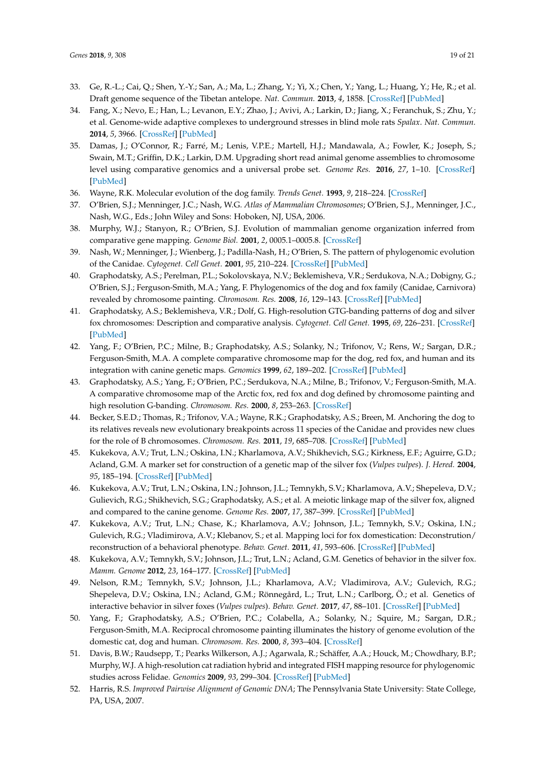- <span id="page-19-0"></span>33. Ge, R.-L.; Cai, Q.; Shen, Y.-Y.; San, A.; Ma, L.; Zhang, Y.; Yi, X.; Chen, Y.; Yang, L.; Huang, Y.; He, R.; et al. Draft genome sequence of the Tibetan antelope. *Nat. Commun.* **2013**, *4*, 1858. [\[CrossRef\]](http://dx.doi.org/10.1038/ncomms2860) [\[PubMed\]](http://www.ncbi.nlm.nih.gov/pubmed/23673643)
- <span id="page-19-1"></span>34. Fang, X.; Nevo, E.; Han, L.; Levanon, E.Y.; Zhao, J.; Avivi, A.; Larkin, D.; Jiang, X.; Feranchuk, S.; Zhu, Y.; et al. Genome-wide adaptive complexes to underground stresses in blind mole rats *Spalax*. *Nat. Commun.* **2014**, *5*, 3966. [\[CrossRef\]](http://dx.doi.org/10.1038/ncomms4966) [\[PubMed\]](http://www.ncbi.nlm.nih.gov/pubmed/24892994)
- <span id="page-19-3"></span><span id="page-19-2"></span>35. Damas, J.; O'Connor, R.; Farré, M.; Lenis, V.P.E.; Martell, H.J.; Mandawala, A.; Fowler, K.; Joseph, S.; Swain, M.T.; Griffin, D.K.; Larkin, D.M. Upgrading short read animal genome assemblies to chromosome level using comparative genomics and a universal probe set. *Genome Res.* **2016**, *27*, 1–10. [\[CrossRef\]](http://dx.doi.org/10.1101/gr.213660.116) [\[PubMed\]](http://www.ncbi.nlm.nih.gov/pubmed/27903645)
- <span id="page-19-4"></span>36. Wayne, R.K. Molecular evolution of the dog family. *Trends Genet.* **1993**, *9*, 218–224. [\[CrossRef\]](http://dx.doi.org/10.1016/0168-9525(93)90122-X)
- <span id="page-19-5"></span>37. O'Brien, S.J.; Menninger, J.C.; Nash, W.G. *Atlas of Mammalian Chromosomes*; O'Brien, S.J., Menninger, J.C., Nash, W.G., Eds.; John Wiley and Sons: Hoboken, NJ, USA, 2006.
- <span id="page-19-6"></span>38. Murphy, W.J.; Stanyon, R.; O'Brien, S.J. Evolution of mammalian genome organization inferred from comparative gene mapping. *Genome Biol.* **2001**, *2*, 0005.1–0005.8. [\[CrossRef\]](http://dx.doi.org/10.1186/gb-2001-2-6-reviews0005)
- <span id="page-19-7"></span>39. Nash, W.; Menninger, J.; Wienberg, J.; Padilla-Nash, H.; O'Brien, S. The pattern of phylogenomic evolution of the Canidae. *Cytogenet. Cell Genet.* **2001**, *95*, 210–224. [\[CrossRef\]](http://dx.doi.org/10.1159/000059348) [\[PubMed\]](http://www.ncbi.nlm.nih.gov/pubmed/12063402)
- <span id="page-19-8"></span>40. Graphodatsky, A.S.; Perelman, P.L.; Sokolovskaya, N.V.; Beklemisheva, V.R.; Serdukova, N.A.; Dobigny, G.; O'Brien, S.J.; Ferguson-Smith, M.A.; Yang, F. Phylogenomics of the dog and fox family (Canidae, Carnivora) revealed by chromosome painting. *Chromosom. Res.* **2008**, *16*, 129–143. [\[CrossRef\]](http://dx.doi.org/10.1007/s10577-007-1203-5) [\[PubMed\]](http://www.ncbi.nlm.nih.gov/pubmed/18293108)
- <span id="page-19-9"></span>41. Graphodatsky, A.S.; Beklemisheva, V.R.; Dolf, G. High-resolution GTG-banding patterns of dog and silver fox chromosomes: Description and comparative analysis. *Cytogenet. Cell Genet.* **1995**, *69*, 226–231. [\[CrossRef\]](http://dx.doi.org/10.1159/000133970) [\[PubMed\]](http://www.ncbi.nlm.nih.gov/pubmed/7698019)
- <span id="page-19-20"></span>42. Yang, F.; O'Brien, P.C.; Milne, B.; Graphodatsky, A.S.; Solanky, N.; Trifonov, V.; Rens, W.; Sargan, D.R.; Ferguson-Smith, M.A. A complete comparative chromosome map for the dog, red fox, and human and its integration with canine genetic maps. *Genomics* **1999**, *62*, 189–202. [\[CrossRef\]](http://dx.doi.org/10.1006/geno.1999.5989) [\[PubMed\]](http://www.ncbi.nlm.nih.gov/pubmed/10610712)
- <span id="page-19-11"></span><span id="page-19-10"></span>43. Graphodatsky, A.S.; Yang, F.; O'Brien, P.C.; Serdukova, N.A.; Milne, B.; Trifonov, V.; Ferguson-Smith, M.A. A comparative chromosome map of the Arctic fox, red fox and dog defined by chromosome painting and high resolution G-banding. *Chromosom. Res.* **2000**, *8*, 253–263. [\[CrossRef\]](http://dx.doi.org/10.1023/A:1009217400140)
- <span id="page-19-13"></span><span id="page-19-12"></span>44. Becker, S.E.D.; Thomas, R.; Trifonov, V.A.; Wayne, R.K.; Graphodatsky, A.S.; Breen, M. Anchoring the dog to its relatives reveals new evolutionary breakpoints across 11 species of the Canidae and provides new clues for the role of B chromosomes. *Chromosom. Res.* **2011**, *19*, 685–708. [\[CrossRef\]](http://dx.doi.org/10.1007/s10577-011-9233-4) [\[PubMed\]](http://www.ncbi.nlm.nih.gov/pubmed/21947954)
- 45. Kukekova, A.V.; Trut, L.N.; Oskina, I.N.; Kharlamova, A.V.; Shikhevich, S.G.; Kirkness, E.F.; Aguirre, G.D.; Acland, G.M. A marker set for construction of a genetic map of the silver fox (*Vulpes vulpes*). *J. Hered.* **2004**, *95*, 185–194. [\[CrossRef\]](http://dx.doi.org/10.1093/jhered/esh033) [\[PubMed\]](http://www.ncbi.nlm.nih.gov/pubmed/15220384)
- <span id="page-19-14"></span>46. Kukekova, A.V.; Trut, L.N.; Oskina, I.N.; Johnson, J.L.; Temnykh, S.V.; Kharlamova, A.V.; Shepeleva, D.V.; Gulievich, R.G.; Shikhevich, S.G.; Graphodatsky, A.S.; et al. A meiotic linkage map of the silver fox, aligned and compared to the canine genome. *Genome Res.* **2007**, *17*, 387–399. [\[CrossRef\]](http://dx.doi.org/10.1101/gr.5893307) [\[PubMed\]](http://www.ncbi.nlm.nih.gov/pubmed/17284676)
- <span id="page-19-15"></span>47. Kukekova, A.V.; Trut, L.N.; Chase, K.; Kharlamova, A.V.; Johnson, J.L.; Temnykh, S.V.; Oskina, I.N.; Gulevich, R.G.; Vladimirova, A.V.; Klebanov, S.; et al. Mapping loci for fox domestication: Deconstrution/ reconstruction of a behavioral phenotype. *Behav. Genet.* **2011**, *41*, 593–606. [\[CrossRef\]](http://dx.doi.org/10.1007/s10519-010-9418-1) [\[PubMed\]](http://www.ncbi.nlm.nih.gov/pubmed/21153916)
- <span id="page-19-17"></span><span id="page-19-16"></span>48. Kukekova, A.V.; Temnykh, S.V.; Johnson, J.L.; Trut, L.N.; Acland, G.M. Genetics of behavior in the silver fox. *Mamm. Genome* **2012**, *23*, 164–177. [\[CrossRef\]](http://dx.doi.org/10.1007/s00335-011-9373-z) [\[PubMed\]](http://www.ncbi.nlm.nih.gov/pubmed/22108806)
- 49. Nelson, R.M.; Temnykh, S.V.; Johnson, J.L.; Kharlamova, A.V.; Vladimirova, A.V.; Gulevich, R.G.; Shepeleva, D.V.; Oskina, I.N.; Acland, G.M.; Rönnegård, L.; Trut, L.N.; Carlborg, Ö.; et al. Genetics of interactive behavior in silver foxes (*Vulpes vulpes*). *Behav. Genet.* **2017**, *47*, 88–101. [\[CrossRef\]](http://dx.doi.org/10.1007/s10519-016-9815-1) [\[PubMed\]](http://www.ncbi.nlm.nih.gov/pubmed/27757730)
- <span id="page-19-18"></span>50. Yang, F.; Graphodatsky, A.S.; O'Brien, P.C.; Colabella, A.; Solanky, N.; Squire, M.; Sargan, D.R.; Ferguson-Smith, M.A. Reciprocal chromosome painting illuminates the history of genome evolution of the domestic cat, dog and human. *Chromosom. Res.* **2000**, *8*, 393–404. [\[CrossRef\]](http://dx.doi.org/10.1023/A:1009210803123)
- <span id="page-19-19"></span>51. Davis, B.W.; Raudsepp, T.; Pearks Wilkerson, A.J.; Agarwala, R.; Schäffer, A.A.; Houck, M.; Chowdhary, B.P.; Murphy, W.J. A high-resolution cat radiation hybrid and integrated FISH mapping resource for phylogenomic studies across Felidae. *Genomics* **2009**, *93*, 299–304. [\[CrossRef\]](http://dx.doi.org/10.1016/j.ygeno.2008.09.010) [\[PubMed\]](http://www.ncbi.nlm.nih.gov/pubmed/18951970)
- <span id="page-19-21"></span>52. Harris, R.S. *Improved Pairwise Alignment of Genomic DNA*; The Pennsylvania State University: State College, PA, USA, 2007.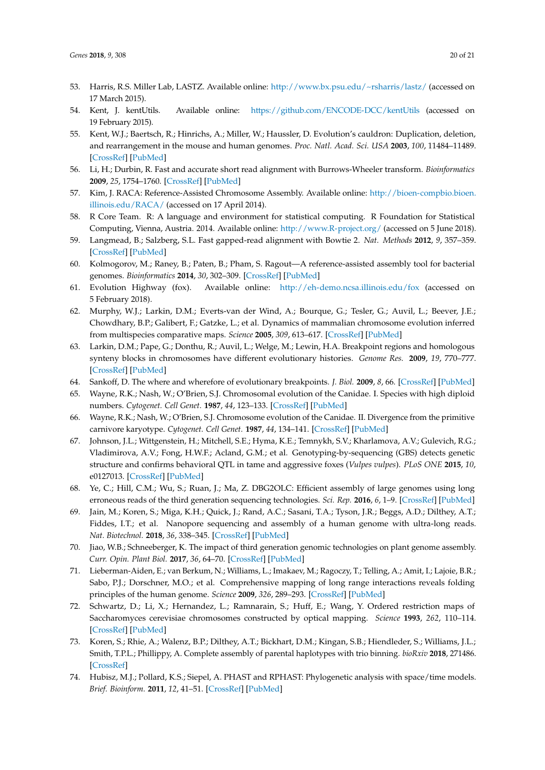- <span id="page-20-0"></span>53. Harris, R.S. Miller Lab, LASTZ. Available online: <http://www.bx.psu.edu/~rsharris/lastz/> (accessed on 17 March 2015).
- <span id="page-20-1"></span>54. Kent, J. kentUtils. Available online: <https://github.com/ENCODE-DCC/kentUtils> (accessed on 19 February 2015).
- <span id="page-20-2"></span>55. Kent, W.J.; Baertsch, R.; Hinrichs, A.; Miller, W.; Haussler, D. Evolution's cauldron: Duplication, deletion, and rearrangement in the mouse and human genomes. *Proc. Natl. Acad. Sci. USA* **2003**, *100*, 11484–11489. [\[CrossRef\]](http://dx.doi.org/10.1073/pnas.1932072100) [\[PubMed\]](http://www.ncbi.nlm.nih.gov/pubmed/14500911)
- <span id="page-20-3"></span>56. Li, H.; Durbin, R. Fast and accurate short read alignment with Burrows-Wheeler transform. *Bioinformatics* **2009**, *25*, 1754–1760. [\[CrossRef\]](http://dx.doi.org/10.1093/bioinformatics/btp324) [\[PubMed\]](http://www.ncbi.nlm.nih.gov/pubmed/19451168)
- <span id="page-20-4"></span>57. Kim, J. RACA: Reference-Assisted Chromosome Assembly. Available online: [http://bioen-compbio.bioen.](http://bioen-compbio.bioen.illinois.edu/RACA/) [illinois.edu/RACA/](http://bioen-compbio.bioen.illinois.edu/RACA/) (accessed on 17 April 2014).
- <span id="page-20-5"></span>58. R Core Team. R: A language and environment for statistical computing. R Foundation for Statistical Computing, Vienna, Austria. 2014. Available online: <http://www.R-project.org/> (accessed on 5 June 2018).
- 59. Langmead, B.; Salzberg, S.L. Fast gapped-read alignment with Bowtie 2. *Nat. Methods* **2012**, *9*, 357–359. [\[CrossRef\]](http://dx.doi.org/10.1038/nmeth.1923) [\[PubMed\]](http://www.ncbi.nlm.nih.gov/pubmed/22388286)
- 60. Kolmogorov, M.; Raney, B.; Paten, B.; Pham, S. Ragout—A reference-assisted assembly tool for bacterial genomes. *Bioinformatics* **2014**, *30*, 302–309. [\[CrossRef\]](http://dx.doi.org/10.1093/bioinformatics/btu280) [\[PubMed\]](http://www.ncbi.nlm.nih.gov/pubmed/24931998)
- 61. Evolution Highway (fox). Available online: <http://eh-demo.ncsa.illinois.edu/fox> (accessed on 5 February 2018).
- 62. Murphy, W.J.; Larkin, D.M.; Everts-van der Wind, A.; Bourque, G.; Tesler, G.; Auvil, L.; Beever, J.E.; Chowdhary, B.P.; Galibert, F.; Gatzke, L.; et al. Dynamics of mammalian chromosome evolution inferred from multispecies comparative maps. *Science* **2005**, *309*, 613–617. [\[CrossRef\]](http://dx.doi.org/10.1126/science.1111387) [\[PubMed\]](http://www.ncbi.nlm.nih.gov/pubmed/16040707)
- 63. Larkin, D.M.; Pape, G.; Donthu, R.; Auvil, L.; Welge, M.; Lewin, H.A. Breakpoint regions and homologous synteny blocks in chromosomes have different evolutionary histories. *Genome Res.* **2009**, *19*, 770–777. [\[CrossRef\]](http://dx.doi.org/10.1101/gr.086546.108) [\[PubMed\]](http://www.ncbi.nlm.nih.gov/pubmed/19342477)
- 64. Sankoff, D. The where and wherefore of evolutionary breakpoints. *J. Biol.* **2009**, *8*, 66. [\[CrossRef\]](http://dx.doi.org/10.1186/jbiol162) [\[PubMed\]](http://www.ncbi.nlm.nih.gov/pubmed/19664183)
- 65. Wayne, R.K.; Nash, W.; O'Brien, S.J. Chromosomal evolution of the Canidae. I. Species with high diploid numbers. *Cytogenet. Cell Genet.* **1987**, *44*, 123–133. [\[CrossRef\]](http://dx.doi.org/10.1159/000132356) [\[PubMed\]](http://www.ncbi.nlm.nih.gov/pubmed/3568761)
- 66. Wayne, R.K.; Nash, W.; O'Brien, S.J. Chromosome evolution of the Canidae. II. Divergence from the primitive carnivore karyotype. *Cytogenet. Cell Genet.* **1987**, *44*, 134–141. [\[CrossRef\]](http://dx.doi.org/10.1159/000132357) [\[PubMed\]](http://www.ncbi.nlm.nih.gov/pubmed/3568762)
- 67. Johnson, J.L.; Wittgenstein, H.; Mitchell, S.E.; Hyma, K.E.; Temnykh, S.V.; Kharlamova, A.V.; Gulevich, R.G.; Vladimirova, A.V.; Fong, H.W.F.; Acland, G.M.; et al. Genotyping-by-sequencing (GBS) detects genetic structure and confirms behavioral QTL in tame and aggressive foxes (*Vulpes vulpes*). *PLoS ONE* **2015**, *10*, e0127013. [\[CrossRef\]](http://dx.doi.org/10.1371/journal.pone.0127013) [\[PubMed\]](http://www.ncbi.nlm.nih.gov/pubmed/26061395)
- 68. Ye, C.; Hill, C.M.; Wu, S.; Ruan, J.; Ma, Z. DBG2OLC: Efficient assembly of large genomes using long erroneous reads of the third generation sequencing technologies. *Sci. Rep.* **2016**, *6*, 1–9. [\[CrossRef\]](http://dx.doi.org/10.1038/srep31900) [\[PubMed\]](http://www.ncbi.nlm.nih.gov/pubmed/27573208)
- 69. Jain, M.; Koren, S.; Miga, K.H.; Quick, J.; Rand, A.C.; Sasani, T.A.; Tyson, J.R.; Beggs, A.D.; Dilthey, A.T.; Fiddes, I.T.; et al. Nanopore sequencing and assembly of a human genome with ultra-long reads. *Nat. Biotechnol.* **2018**, *36*, 338–345. [\[CrossRef\]](http://dx.doi.org/10.1038/nbt.4060) [\[PubMed\]](http://www.ncbi.nlm.nih.gov/pubmed/29431738)
- 70. Jiao, W.B.; Schneeberger, K. The impact of third generation genomic technologies on plant genome assembly. *Curr. Opin. Plant Biol.* **2017**, *36*, 64–70. [\[CrossRef\]](http://dx.doi.org/10.1016/j.pbi.2017.02.002) [\[PubMed\]](http://www.ncbi.nlm.nih.gov/pubmed/28231512)
- 71. Lieberman-Aiden, E.; van Berkum, N.; Williams, L.; Imakaev, M.; Ragoczy, T.; Telling, A.; Amit, I.; Lajoie, B.R.; Sabo, P.J.; Dorschner, M.O.; et al. Comprehensive mapping of long range interactions reveals folding principles of the human genome. *Science* **2009**, *326*, 289–293. [\[CrossRef\]](http://dx.doi.org/10.1126/science.1181369) [\[PubMed\]](http://www.ncbi.nlm.nih.gov/pubmed/19815776)
- 72. Schwartz, D.; Li, X.; Hernandez, L.; Ramnarain, S.; Huff, E.; Wang, Y. Ordered restriction maps of Saccharomyces cerevisiae chromosomes constructed by optical mapping. *Science* **1993**, *262*, 110–114. [\[CrossRef\]](http://dx.doi.org/10.1126/science.8211116) [\[PubMed\]](http://www.ncbi.nlm.nih.gov/pubmed/8211116)
- 73. Koren, S.; Rhie, A.; Walenz, B.P.; Dilthey, A.T.; Bickhart, D.M.; Kingan, S.B.; Hiendleder, S.; Williams, J.L.; Smith, T.P.L.; Phillippy, A. Complete assembly of parental haplotypes with trio binning. *bioRxiv* **2018**, 271486. [\[CrossRef\]](http://dx.doi.org/10.1101/271486)
- 74. Hubisz, M.J.; Pollard, K.S.; Siepel, A. PHAST and RPHAST: Phylogenetic analysis with space/time models. *Brief. Bioinform.* **2011**, *12*, 41–51. [\[CrossRef\]](http://dx.doi.org/10.1093/bib/bbq072) [\[PubMed\]](http://www.ncbi.nlm.nih.gov/pubmed/21278375)